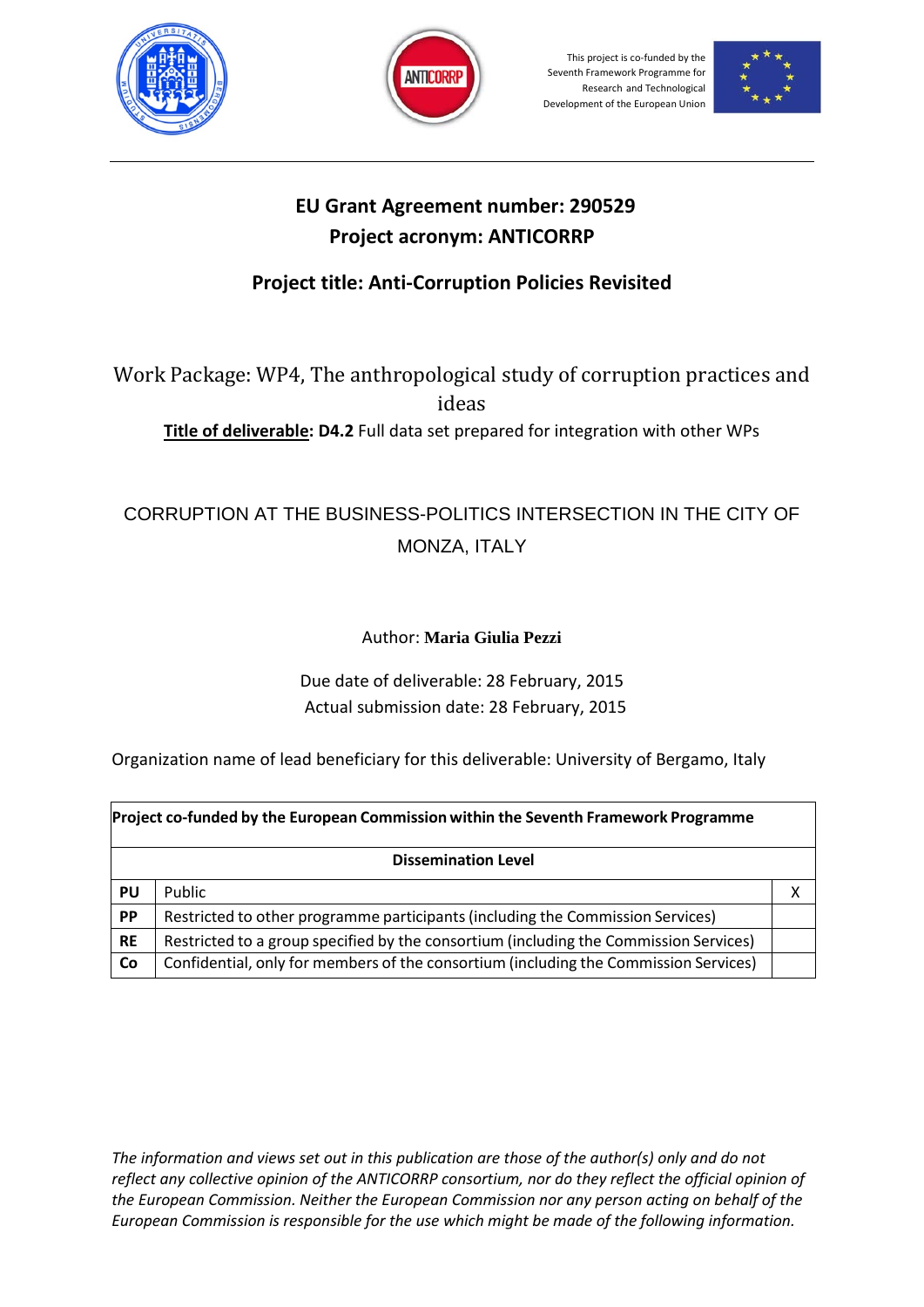





# **EU Grant Agreement number: 290529 Project acronym: ANTICORRP**

## **Project title: Anti-Corruption Policies Revisited**

# Work Package: WP4, The anthropological study of corruption practices and ideas

**Title of deliverable: D4.2** Full data set prepared for integration with other WPs

# CORRUPTION AT THE BUSINESS-POLITICS INTERSECTION IN THE CITY OF MONZA, ITALY

### Author: **Maria Giulia Pezzi**

Due date of deliverable: 28 February, 2015 Actual submission date: 28 February, 2015

Organization name of lead beneficiary for this deliverable: University of Bergamo, Italy

| Project co-funded by the European Commission within the Seventh Framework Programme |                                                                                       |  |  |  |  |  |
|-------------------------------------------------------------------------------------|---------------------------------------------------------------------------------------|--|--|--|--|--|
| <b>Dissemination Level</b>                                                          |                                                                                       |  |  |  |  |  |
| PU                                                                                  | Public                                                                                |  |  |  |  |  |
| <b>PP</b>                                                                           | Restricted to other programme participants (including the Commission Services)        |  |  |  |  |  |
| <b>RE</b>                                                                           | Restricted to a group specified by the consortium (including the Commission Services) |  |  |  |  |  |
| Co                                                                                  | Confidential, only for members of the consortium (including the Commission Services)  |  |  |  |  |  |

*The information and views set out in this publication are those of the author(s) only and do not reflect any collective opinion of the ANTICORRP consortium, nor do they reflect the official opinion of the European Commission. Neither the European Commission nor any person acting on behalf of the European Commission is responsible for the use which might be made of the following information.*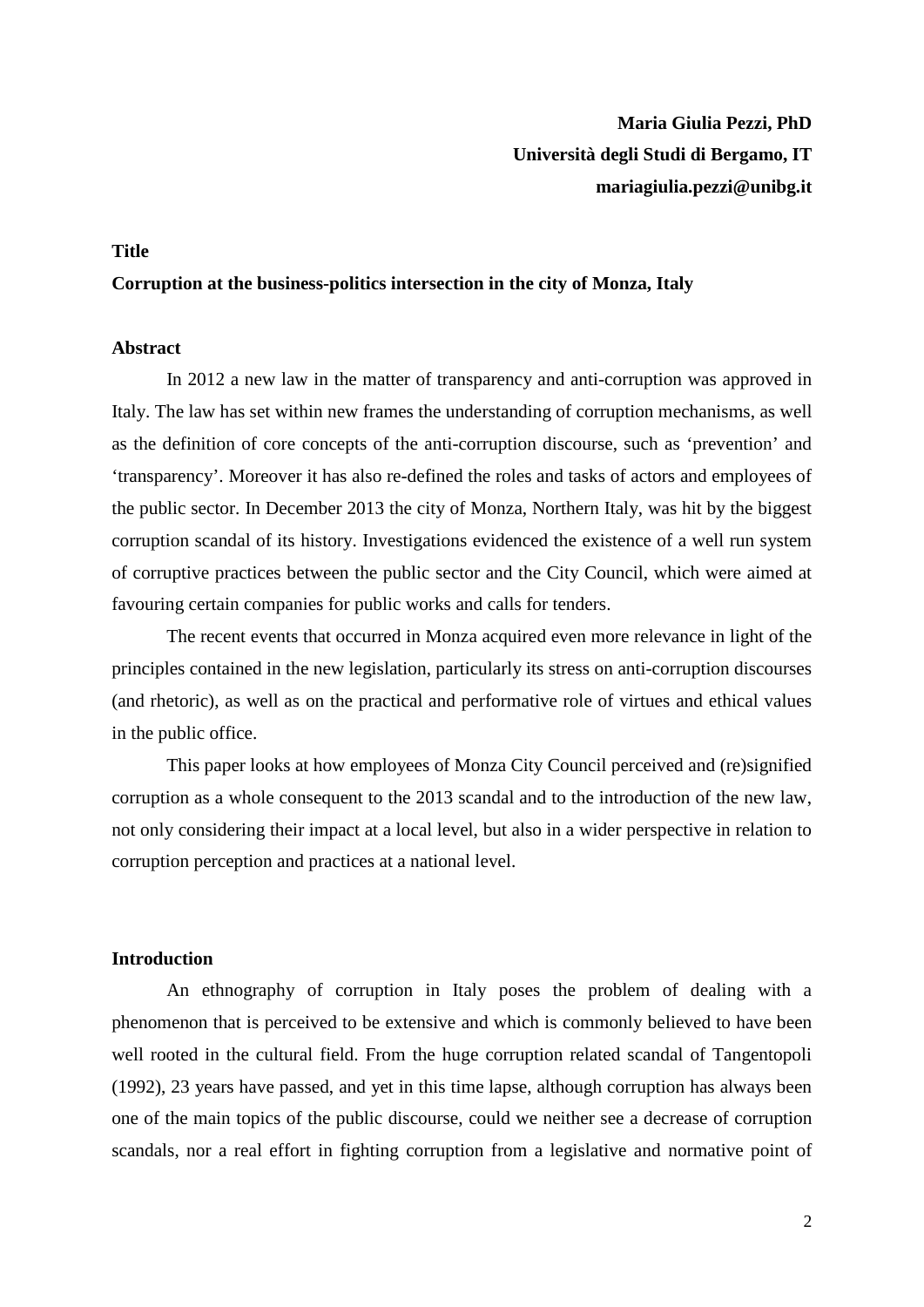### **Maria Giulia Pezzi, PhD Università degli Studi di Bergamo, IT mariagiulia.pezzi@unibg.it**

#### **Title**

#### **Corruption at the business-politics intersection in the city of Monza, Italy**

#### **Abstract**

In 2012 a new law in the matter of transparency and anti-corruption was approved in Italy. The law has set within new frames the understanding of corruption mechanisms, as well as the definition of core concepts of the anti-corruption discourse, such as 'prevention' and 'transparency'. Moreover it has also re-defined the roles and tasks of actors and employees of the public sector. In December 2013 the city of Monza, Northern Italy, was hit by the biggest corruption scandal of its history. Investigations evidenced the existence of a well run system of corruptive practices between the public sector and the City Council, which were aimed at favouring certain companies for public works and calls for tenders.

The recent events that occurred in Monza acquired even more relevance in light of the principles contained in the new legislation, particularly its stress on anti-corruption discourses (and rhetoric), as well as on the practical and performative role of virtues and ethical values in the public office.

This paper looks at how employees of Monza City Council perceived and (re)signified corruption as a whole consequent to the 2013 scandal and to the introduction of the new law, not only considering their impact at a local level, but also in a wider perspective in relation to corruption perception and practices at a national level.

#### **Introduction**

An ethnography of corruption in Italy poses the problem of dealing with a phenomenon that is perceived to be extensive and which is commonly believed to have been well rooted in the cultural field. From the huge corruption related scandal of Tangentopoli (1992), 23 years have passed, and yet in this time lapse, although corruption has always been one of the main topics of the public discourse, could we neither see a decrease of corruption scandals, nor a real effort in fighting corruption from a legislative and normative point of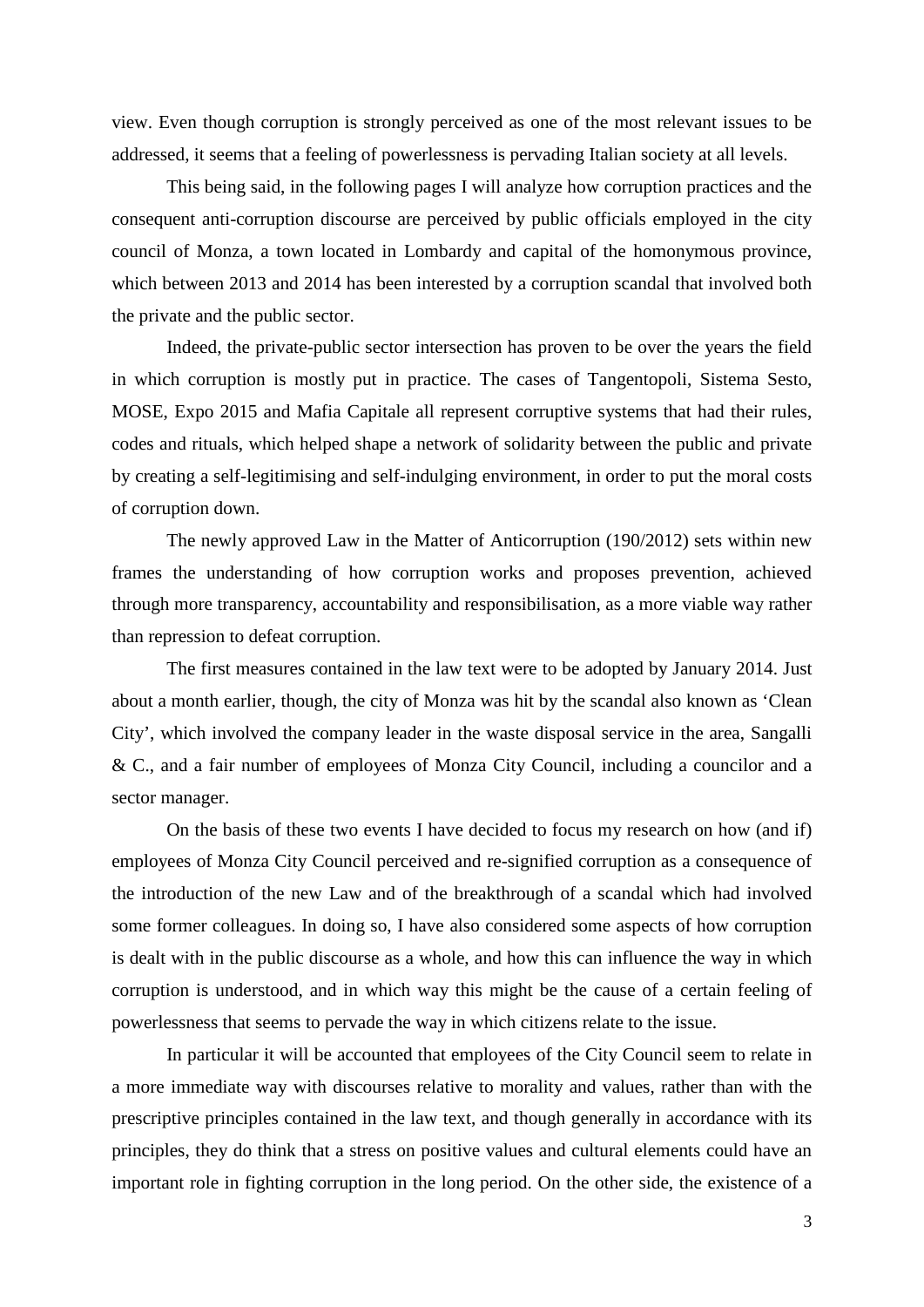view. Even though corruption is strongly perceived as one of the most relevant issues to be addressed, it seems that a feeling of powerlessness is pervading Italian society at all levels.

This being said, in the following pages I will analyze how corruption practices and the consequent anti-corruption discourse are perceived by public officials employed in the city council of Monza, a town located in Lombardy and capital of the homonymous province, which between 2013 and 2014 has been interested by a corruption scandal that involved both the private and the public sector.

Indeed, the private-public sector intersection has proven to be over the years the field in which corruption is mostly put in practice. The cases of Tangentopoli, Sistema Sesto, MOSE, Expo 2015 and Mafia Capitale all represent corruptive systems that had their rules, codes and rituals, which helped shape a network of solidarity between the public and private by creating a self-legitimising and self-indulging environment, in order to put the moral costs of corruption down.

The newly approved Law in the Matter of Anticorruption (190/2012) sets within new frames the understanding of how corruption works and proposes prevention, achieved through more transparency, accountability and responsibilisation, as a more viable way rather than repression to defeat corruption.

The first measures contained in the law text were to be adopted by January 2014. Just about a month earlier, though, the city of Monza was hit by the scandal also known as 'Clean City', which involved the company leader in the waste disposal service in the area, Sangalli & C., and a fair number of employees of Monza City Council, including a councilor and a sector manager.

On the basis of these two events I have decided to focus my research on how (and if) employees of Monza City Council perceived and re-signified corruption as a consequence of the introduction of the new Law and of the breakthrough of a scandal which had involved some former colleagues. In doing so, I have also considered some aspects of how corruption is dealt with in the public discourse as a whole, and how this can influence the way in which corruption is understood, and in which way this might be the cause of a certain feeling of powerlessness that seems to pervade the way in which citizens relate to the issue.

In particular it will be accounted that employees of the City Council seem to relate in a more immediate way with discourses relative to morality and values, rather than with the prescriptive principles contained in the law text, and though generally in accordance with its principles, they do think that a stress on positive values and cultural elements could have an important role in fighting corruption in the long period. On the other side, the existence of a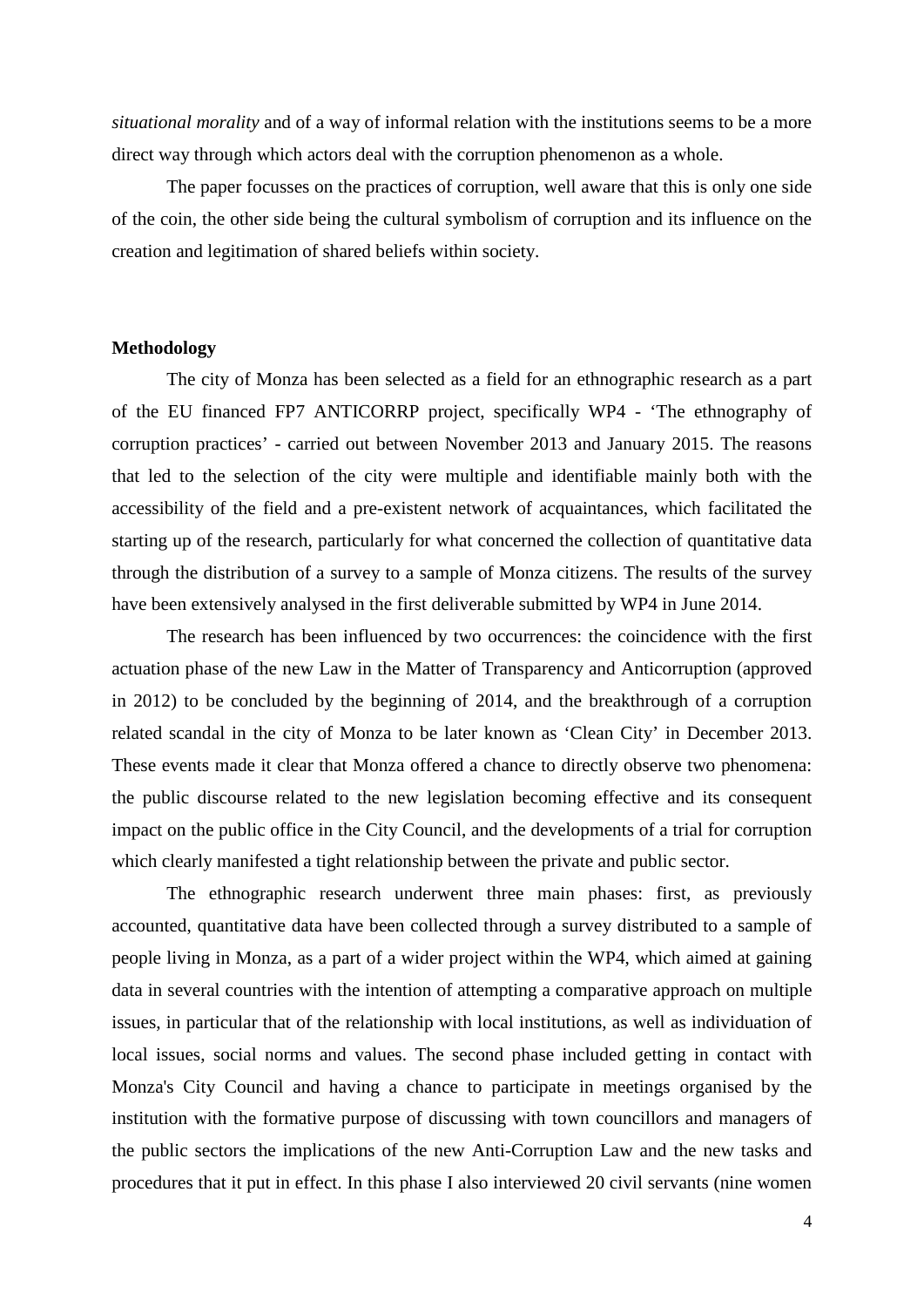*situational morality* and of a way of informal relation with the institutions seems to be a more direct way through which actors deal with the corruption phenomenon as a whole.

The paper focusses on the practices of corruption, well aware that this is only one side of the coin, the other side being the cultural symbolism of corruption and its influence on the creation and legitimation of shared beliefs within society.

#### **Methodology**

The city of Monza has been selected as a field for an ethnographic research as a part of the EU financed FP7 ANTICORRP project, specifically WP4 - 'The ethnography of corruption practices' - carried out between November 2013 and January 2015. The reasons that led to the selection of the city were multiple and identifiable mainly both with the accessibility of the field and a pre-existent network of acquaintances, which facilitated the starting up of the research, particularly for what concerned the collection of quantitative data through the distribution of a survey to a sample of Monza citizens. The results of the survey have been extensively analysed in the first deliverable submitted by WP4 in June 2014.

The research has been influenced by two occurrences: the coincidence with the first actuation phase of the new Law in the Matter of Transparency and Anticorruption (approved in 2012) to be concluded by the beginning of 2014, and the breakthrough of a corruption related scandal in the city of Monza to be later known as 'Clean City' in December 2013. These events made it clear that Monza offered a chance to directly observe two phenomena: the public discourse related to the new legislation becoming effective and its consequent impact on the public office in the City Council, and the developments of a trial for corruption which clearly manifested a tight relationship between the private and public sector.

The ethnographic research underwent three main phases: first, as previously accounted, quantitative data have been collected through a survey distributed to a sample of people living in Monza, as a part of a wider project within the WP4, which aimed at gaining data in several countries with the intention of attempting a comparative approach on multiple issues, in particular that of the relationship with local institutions, as well as individuation of local issues, social norms and values. The second phase included getting in contact with Monza's City Council and having a chance to participate in meetings organised by the institution with the formative purpose of discussing with town councillors and managers of the public sectors the implications of the new Anti-Corruption Law and the new tasks and procedures that it put in effect. In this phase I also interviewed 20 civil servants (nine women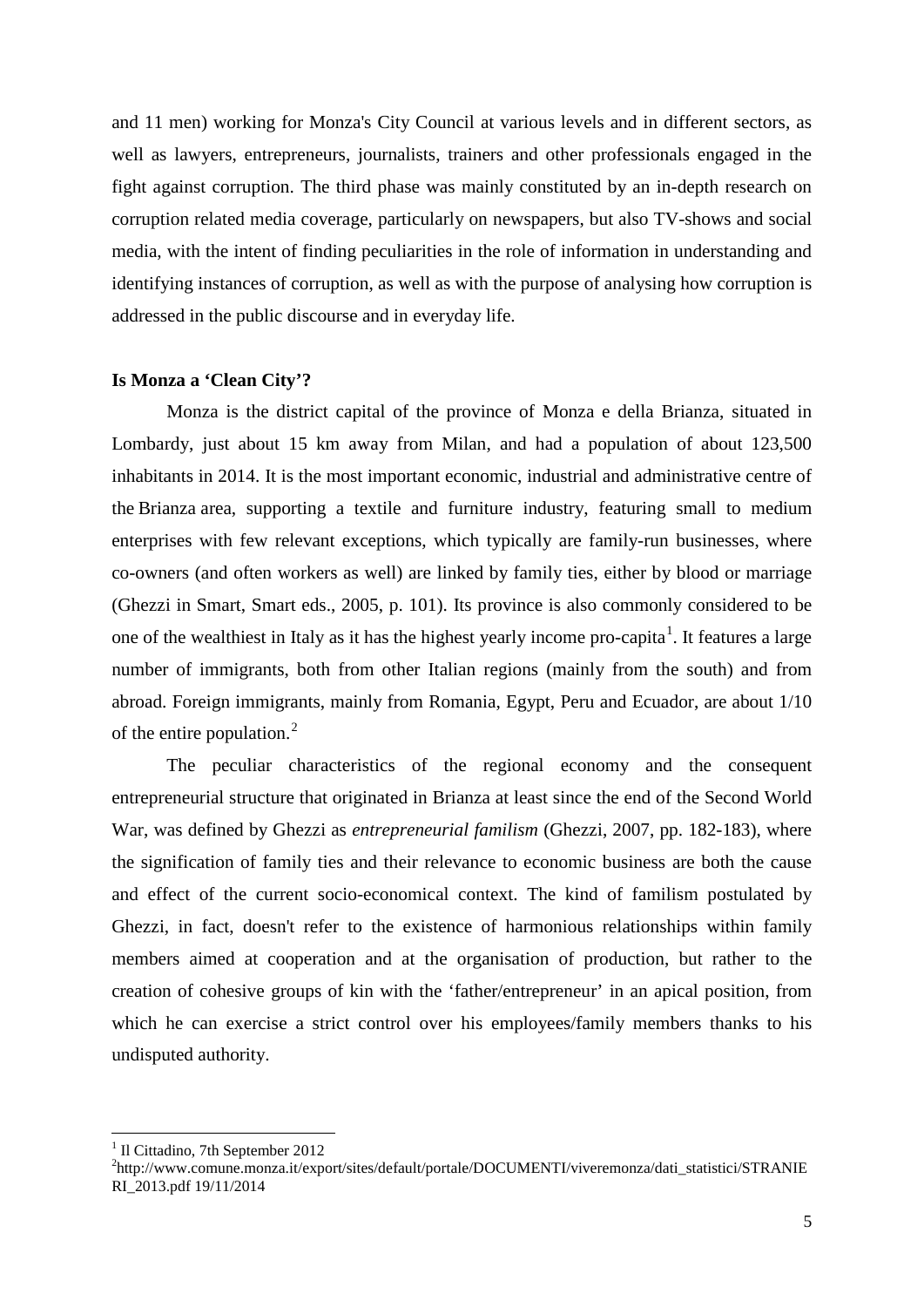and 11 men) working for Monza's City Council at various levels and in different sectors, as well as lawyers, entrepreneurs, journalists, trainers and other professionals engaged in the fight against corruption. The third phase was mainly constituted by an in-depth research on corruption related media coverage, particularly on newspapers, but also TV-shows and social media, with the intent of finding peculiarities in the role of information in understanding and identifying instances of corruption, as well as with the purpose of analysing how corruption is addressed in the public discourse and in everyday life.

#### **Is Monza a 'Clean City'?**

Monza is the district capital of the province of Monza e della Brianza, situated in Lombardy, just about 15 km away from Milan, and had a population of about 123,500 inhabitants in 2014. It is the most important economic, industrial and administrative centre of the Brianza area, supporting a textile and furniture industry, featuring small to medium enterprises with few relevant exceptions, which typically are family-run businesses, where co-owners (and often workers as well) are linked by family ties, either by blood or marriage (Ghezzi in Smart, Smart eds., 2005, p. 101). Its province is also commonly considered to be one of the wealthiest in Italy as it has the highest yearly income pro-capita<sup>[1](#page-4-0)</sup>. It features a large number of immigrants, both from other Italian regions (mainly from the south) and from abroad. Foreign immigrants, mainly from Romania, Egypt, Peru and Ecuador, are about 1/10 of the entire population.<sup>[2](#page-4-1)</sup>

The peculiar characteristics of the regional economy and the consequent entrepreneurial structure that originated in Brianza at least since the end of the Second World War, was defined by Ghezzi as *entrepreneurial familism* (Ghezzi, 2007, pp. 182-183), where the signification of family ties and their relevance to economic business are both the cause and effect of the current socio-economical context. The kind of familism postulated by Ghezzi, in fact, doesn't refer to the existence of harmonious relationships within family members aimed at cooperation and at the organisation of production, but rather to the creation of cohesive groups of kin with the 'father/entrepreneur' in an apical position, from which he can exercise a strict control over his employees/family members thanks to his undisputed authority.

**.** 

<span id="page-4-0"></span> $<sup>1</sup>$  Il Cittadino, 7th September 2012</sup>

<span id="page-4-1"></span><sup>2</sup> http://www.comune.monza.it/export/sites/default/portale/DOCUMENTI/viveremonza/dati\_statistici/STRANIE RI\_2013.pdf 19/11/2014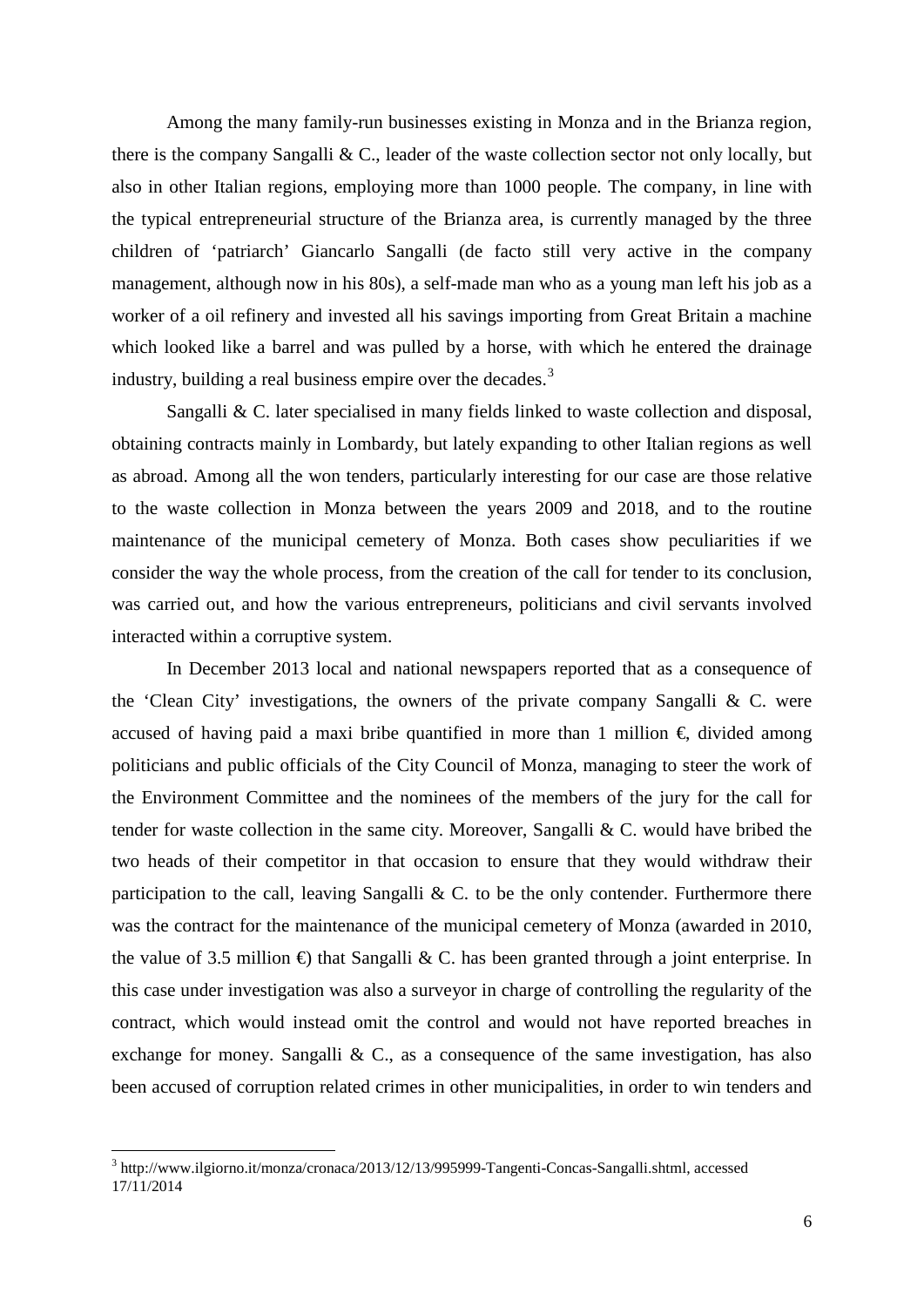Among the many family-run businesses existing in Monza and in the Brianza region, there is the company Sangalli & C., leader of the waste collection sector not only locally, but also in other Italian regions, employing more than 1000 people. The company, in line with the typical entrepreneurial structure of the Brianza area, is currently managed by the three children of 'patriarch' Giancarlo Sangalli (de facto still very active in the company management, although now in his 80s), a self-made man who as a young man left his job as a worker of a oil refinery and invested all his savings importing from Great Britain a machine which looked like a barrel and was pulled by a horse, with which he entered the drainage industry, building a real business empire over the decades.<sup>[3](#page-5-0)</sup>

Sangalli & C. later specialised in many fields linked to waste collection and disposal, obtaining contracts mainly in Lombardy, but lately expanding to other Italian regions as well as abroad. Among all the won tenders, particularly interesting for our case are those relative to the waste collection in Monza between the years 2009 and 2018, and to the routine maintenance of the municipal cemetery of Monza. Both cases show peculiarities if we consider the way the whole process, from the creation of the call for tender to its conclusion, was carried out, and how the various entrepreneurs, politicians and civil servants involved interacted within a corruptive system.

In December 2013 local and national newspapers reported that as a consequence of the 'Clean City' investigations, the owners of the private company Sangalli & C. were accused of having paid a maxi bribe quantified in more than 1 million  $\epsilon$  divided among politicians and public officials of the City Council of Monza, managing to steer the work of the Environment Committee and the nominees of the members of the jury for the call for tender for waste collection in the same city. Moreover, Sangalli & C. would have bribed the two heads of their competitor in that occasion to ensure that they would withdraw their participation to the call, leaving Sangalli  $\& C$ . to be the only contender. Furthermore there was the contract for the maintenance of the municipal cemetery of Monza (awarded in 2010, the value of 3.5 million  $\oplus$  that Sangalli & C. has been granted through a joint enterprise. In this case under investigation was also a surveyor in charge of controlling the regularity of the contract, which would instead omit the control and would not have reported breaches in exchange for money. Sangalli & C., as a consequence of the same investigation, has also been accused of corruption related crimes in other municipalities, in order to win tenders and

 $\overline{\phantom{a}}$ 

<span id="page-5-0"></span><sup>3</sup> http://www.ilgiorno.it/monza/cronaca/2013/12/13/995999-Tangenti-Concas-Sangalli.shtml, accessed 17/11/2014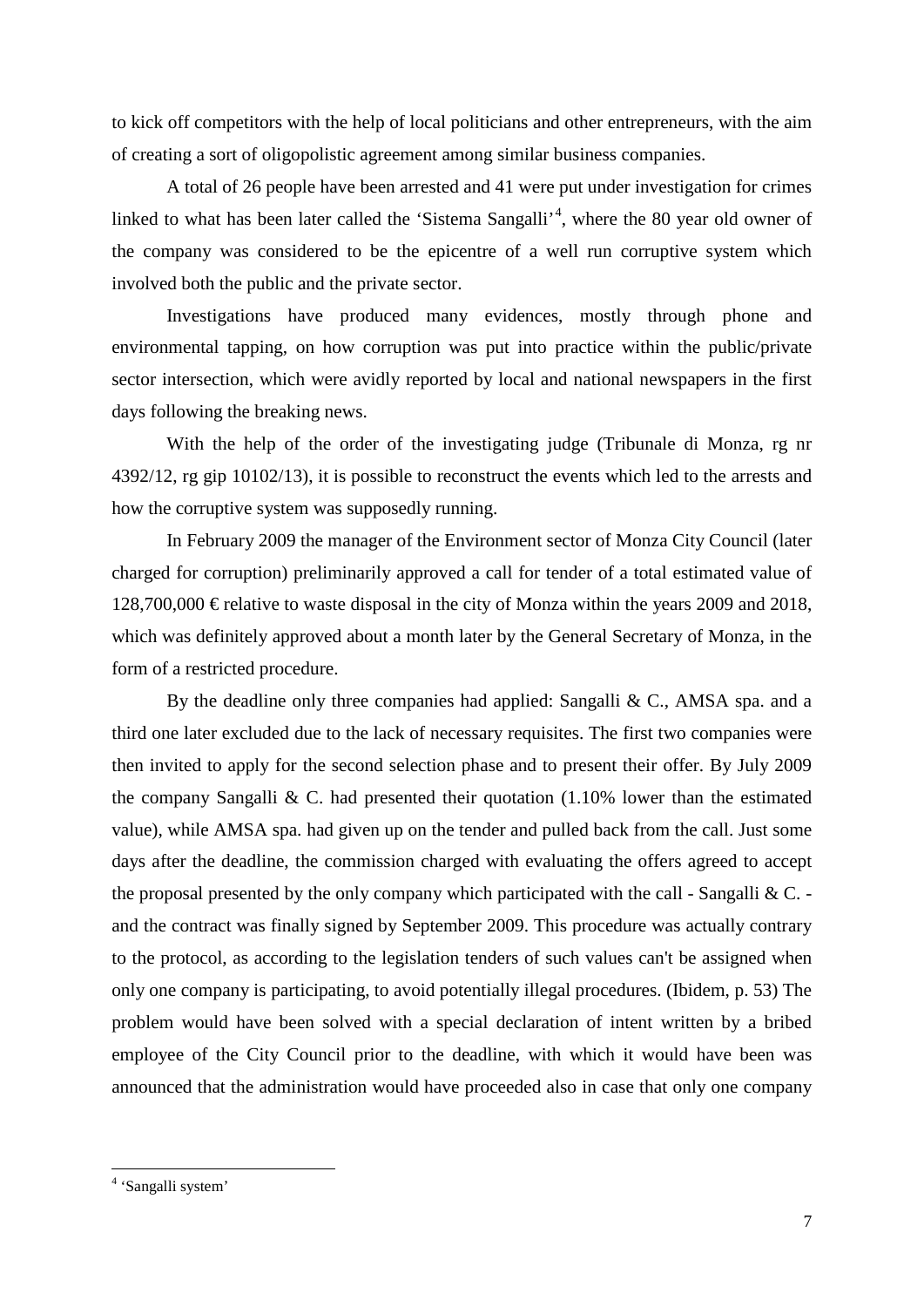to kick off competitors with the help of local politicians and other entrepreneurs, with the aim of creating a sort of oligopolistic agreement among similar business companies.

A total of 26 people have been arrested and 41 were put under investigation for crimes linked to what has been later called the 'Sistema Sangalli'<sup>[4](#page-6-0)</sup>, where the 80 year old owner of the company was considered to be the epicentre of a well run corruptive system which involved both the public and the private sector.

Investigations have produced many evidences, mostly through phone and environmental tapping, on how corruption was put into practice within the public/private sector intersection, which were avidly reported by local and national newspapers in the first days following the breaking news.

With the help of the order of the investigating judge (Tribunale di Monza, rg nr 4392/12, rg gip 10102/13), it is possible to reconstruct the events which led to the arrests and how the corruptive system was supposedly running.

In February 2009 the manager of the Environment sector of Monza City Council (later charged for corruption) preliminarily approved a call for tender of a total estimated value of 128,700,000  $\epsilon$  relative to waste disposal in the city of Monza within the years 2009 and 2018, which was definitely approved about a month later by the General Secretary of Monza, in the form of a restricted procedure.

By the deadline only three companies had applied: Sangalli & C., AMSA spa. and a third one later excluded due to the lack of necessary requisites. The first two companies were then invited to apply for the second selection phase and to present their offer. By July 2009 the company Sangalli  $& C$ . had presented their quotation (1.10% lower than the estimated value), while AMSA spa. had given up on the tender and pulled back from the call. Just some days after the deadline, the commission charged with evaluating the offers agreed to accept the proposal presented by the only company which participated with the call - Sangalli &  $C$ . and the contract was finally signed by September 2009. This procedure was actually contrary to the protocol, as according to the legislation tenders of such values can't be assigned when only one company is participating, to avoid potentially illegal procedures. (Ibidem, p. 53) The problem would have been solved with a special declaration of intent written by a bribed employee of the City Council prior to the deadline, with which it would have been was announced that the administration would have proceeded also in case that only one company

<span id="page-6-0"></span><sup>4</sup> 'Sangalli system'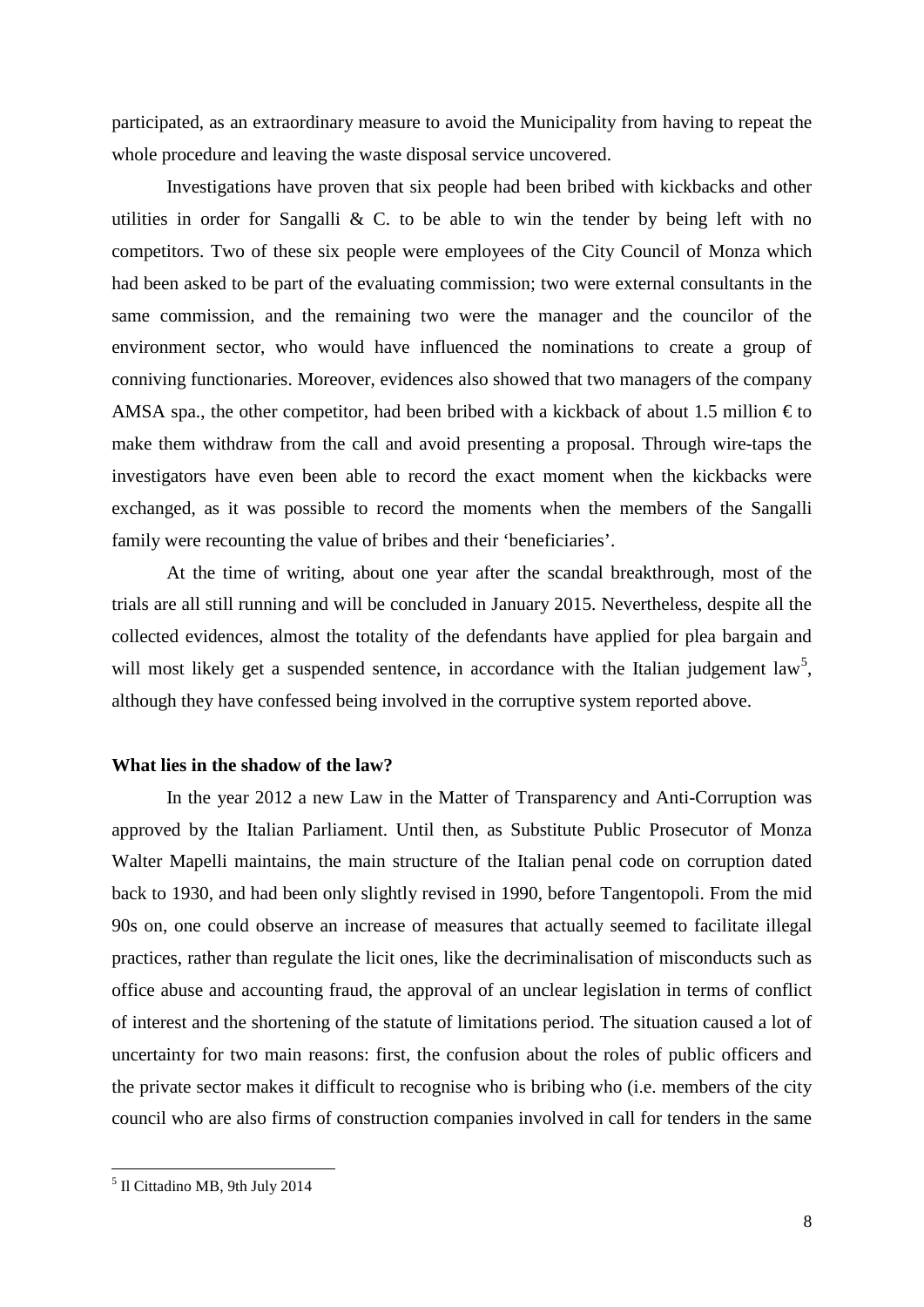participated, as an extraordinary measure to avoid the Municipality from having to repeat the whole procedure and leaving the waste disposal service uncovered.

Investigations have proven that six people had been bribed with kickbacks and other utilities in order for Sangalli & C. to be able to win the tender by being left with no competitors. Two of these six people were employees of the City Council of Monza which had been asked to be part of the evaluating commission; two were external consultants in the same commission, and the remaining two were the manager and the councilor of the environment sector, who would have influenced the nominations to create a group of conniving functionaries. Moreover, evidences also showed that two managers of the company AMSA spa., the other competitor, had been bribed with a kickback of about 1.5 million  $\epsilon$  to make them withdraw from the call and avoid presenting a proposal. Through wire-taps the investigators have even been able to record the exact moment when the kickbacks were exchanged, as it was possible to record the moments when the members of the Sangalli family were recounting the value of bribes and their 'beneficiaries'.

At the time of writing, about one year after the scandal breakthrough, most of the trials are all still running and will be concluded in January 2015. Nevertheless, despite all the collected evidences, almost the totality of the defendants have applied for plea bargain and will most likely get a suspended sentence, in accordance with the Italian judgement law<sup>[5](#page-7-0)</sup>, although they have confessed being involved in the corruptive system reported above.

#### **What lies in the shadow of the law?**

In the year 2012 a new Law in the Matter of Transparency and Anti-Corruption was approved by the Italian Parliament. Until then, as Substitute Public Prosecutor of Monza Walter Mapelli maintains, the main structure of the Italian penal code on corruption dated back to 1930, and had been only slightly revised in 1990, before Tangentopoli. From the mid 90s on, one could observe an increase of measures that actually seemed to facilitate illegal practices, rather than regulate the licit ones, like the decriminalisation of misconducts such as office abuse and accounting fraud, the approval of an unclear legislation in terms of conflict of interest and the shortening of the statute of limitations period. The situation caused a lot of uncertainty for two main reasons: first, the confusion about the roles of public officers and the private sector makes it difficult to recognise who is bribing who (i.e. members of the city council who are also firms of construction companies involved in call for tenders in the same

<span id="page-7-0"></span><sup>5</sup> Il Cittadino MB, 9th July 2014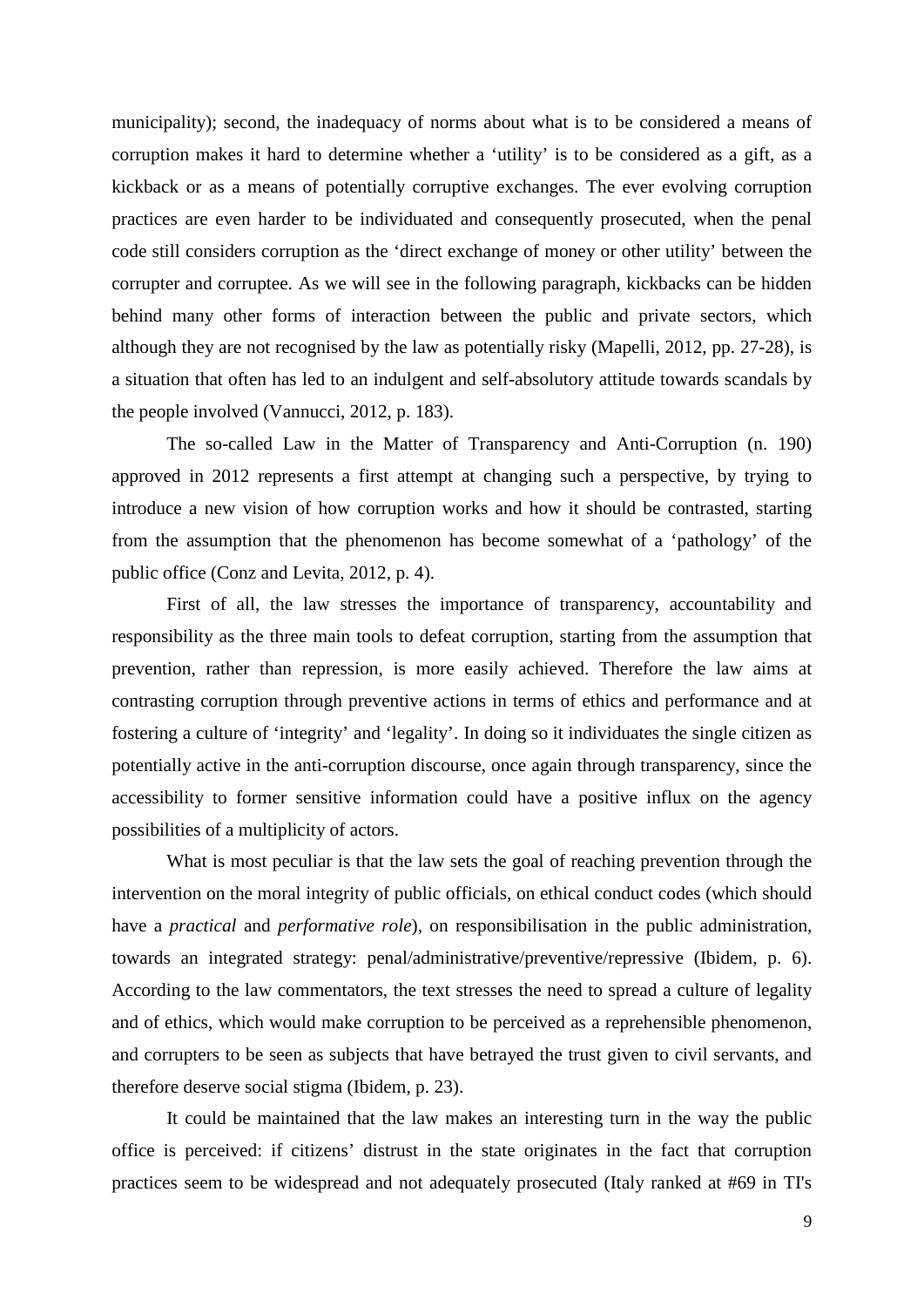municipality); second, the inadequacy of norms about what is to be considered a means of corruption makes it hard to determine whether a 'utility' is to be considered as a gift, as a kickback or as a means of potentially corruptive exchanges. The ever evolving corruption practices are even harder to be individuated and consequently prosecuted, when the penal code still considers corruption as the 'direct exchange of money or other utility' between the corrupter and corruptee. As we will see in the following paragraph, kickbacks can be hidden behind many other forms of interaction between the public and private sectors, which although they are not recognised by the law as potentially risky (Mapelli, 2012, pp. 27-28), is a situation that often has led to an indulgent and self-absolutory attitude towards scandals by the people involved (Vannucci, 2012, p. 183).

The so-called Law in the Matter of Transparency and Anti-Corruption (n. 190) approved in 2012 represents a first attempt at changing such a perspective, by trying to introduce a new vision of how corruption works and how it should be contrasted, starting from the assumption that the phenomenon has become somewhat of a 'pathology' of the public office (Conz and Levita, 2012, p. 4).

First of all, the law stresses the importance of transparency, accountability and responsibility as the three main tools to defeat corruption, starting from the assumption that prevention, rather than repression, is more easily achieved. Therefore the law aims at contrasting corruption through preventive actions in terms of ethics and performance and at fostering a culture of 'integrity' and 'legality'. In doing so it individuates the single citizen as potentially active in the anti-corruption discourse, once again through transparency, since the accessibility to former sensitive information could have a positive influx on the agency possibilities of a multiplicity of actors.

What is most peculiar is that the law sets the goal of reaching prevention through the intervention on the moral integrity of public officials, on ethical conduct codes (which should have a *practical* and *performative role*), on responsibilisation in the public administration, towards an integrated strategy: penal/administrative/preventive/repressive (Ibidem, p. 6). According to the law commentators, the text stresses the need to spread a culture of legality and of ethics, which would make corruption to be perceived as a reprehensible phenomenon, and corrupters to be seen as subjects that have betrayed the trust given to civil servants, and therefore deserve social stigma (Ibidem, p. 23).

It could be maintained that the law makes an interesting turn in the way the public office is perceived: if citizens' distrust in the state originates in the fact that corruption practices seem to be widespread and not adequately prosecuted (Italy ranked at #69 in TI's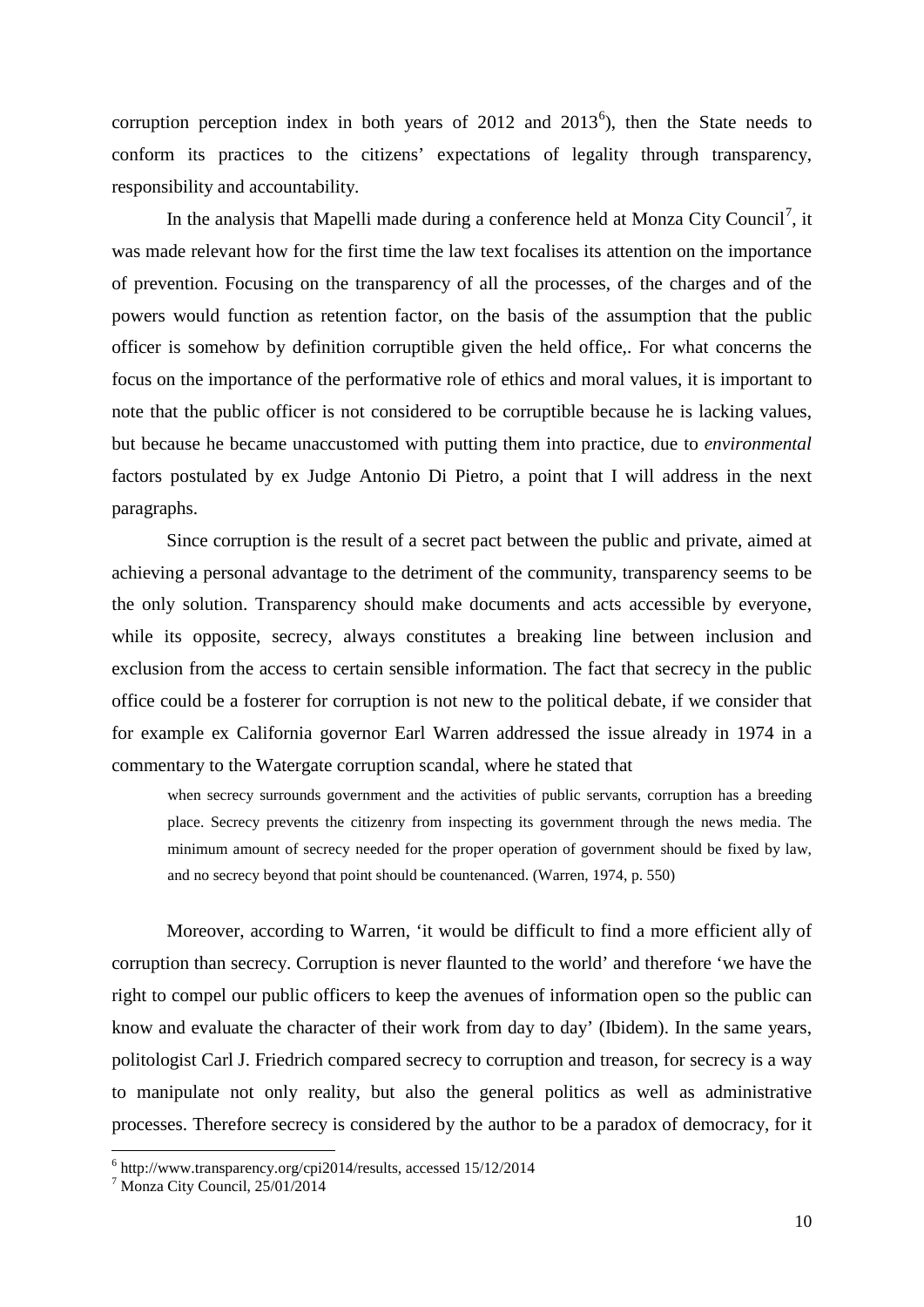corruption perception index in both years of  $2012$  and  $2013^6$  $2013^6$ ), then the State needs to conform its practices to the citizens' expectations of legality through transparency, responsibility and accountability.

In the analysis that Mapelli made during a conference held at Monza City Council<sup>[7](#page-9-1)</sup>, it was made relevant how for the first time the law text focalises its attention on the importance of prevention. Focusing on the transparency of all the processes, of the charges and of the powers would function as retention factor, on the basis of the assumption that the public officer is somehow by definition corruptible given the held office,. For what concerns the focus on the importance of the performative role of ethics and moral values, it is important to note that the public officer is not considered to be corruptible because he is lacking values, but because he became unaccustomed with putting them into practice, due to *environmental* factors postulated by ex Judge Antonio Di Pietro, a point that I will address in the next paragraphs.

Since corruption is the result of a secret pact between the public and private, aimed at achieving a personal advantage to the detriment of the community, transparency seems to be the only solution. Transparency should make documents and acts accessible by everyone, while its opposite, secrecy, always constitutes a breaking line between inclusion and exclusion from the access to certain sensible information. The fact that secrecy in the public office could be a fosterer for corruption is not new to the political debate, if we consider that for example ex California governor Earl Warren addressed the issue already in 1974 in a commentary to the Watergate corruption scandal, where he stated that

when secrecy surrounds government and the activities of public servants, corruption has a breeding place. Secrecy prevents the citizenry from inspecting its government through the news media. The minimum amount of secrecy needed for the proper operation of government should be fixed by law, and no secrecy beyond that point should be countenanced. (Warren, 1974, p. 550)

Moreover, according to Warren, 'it would be difficult to find a more efficient ally of corruption than secrecy. Corruption is never flaunted to the world' and therefore 'we have the right to compel our public officers to keep the avenues of information open so the public can know and evaluate the character of their work from day to day' (Ibidem). In the same years, politologist Carl J. Friedrich compared secrecy to corruption and treason, for secrecy is a way to manipulate not only reality, but also the general politics as well as administrative processes. Therefore secrecy is considered by the author to be a paradox of democracy, for it

 $\overline{\phantom{a}}$ 

<span id="page-9-0"></span><sup>6</sup> http://www.transparency.org/cpi2014/results, accessed 15/12/2014

<span id="page-9-1"></span><sup>7</sup> Monza City Council, 25/01/2014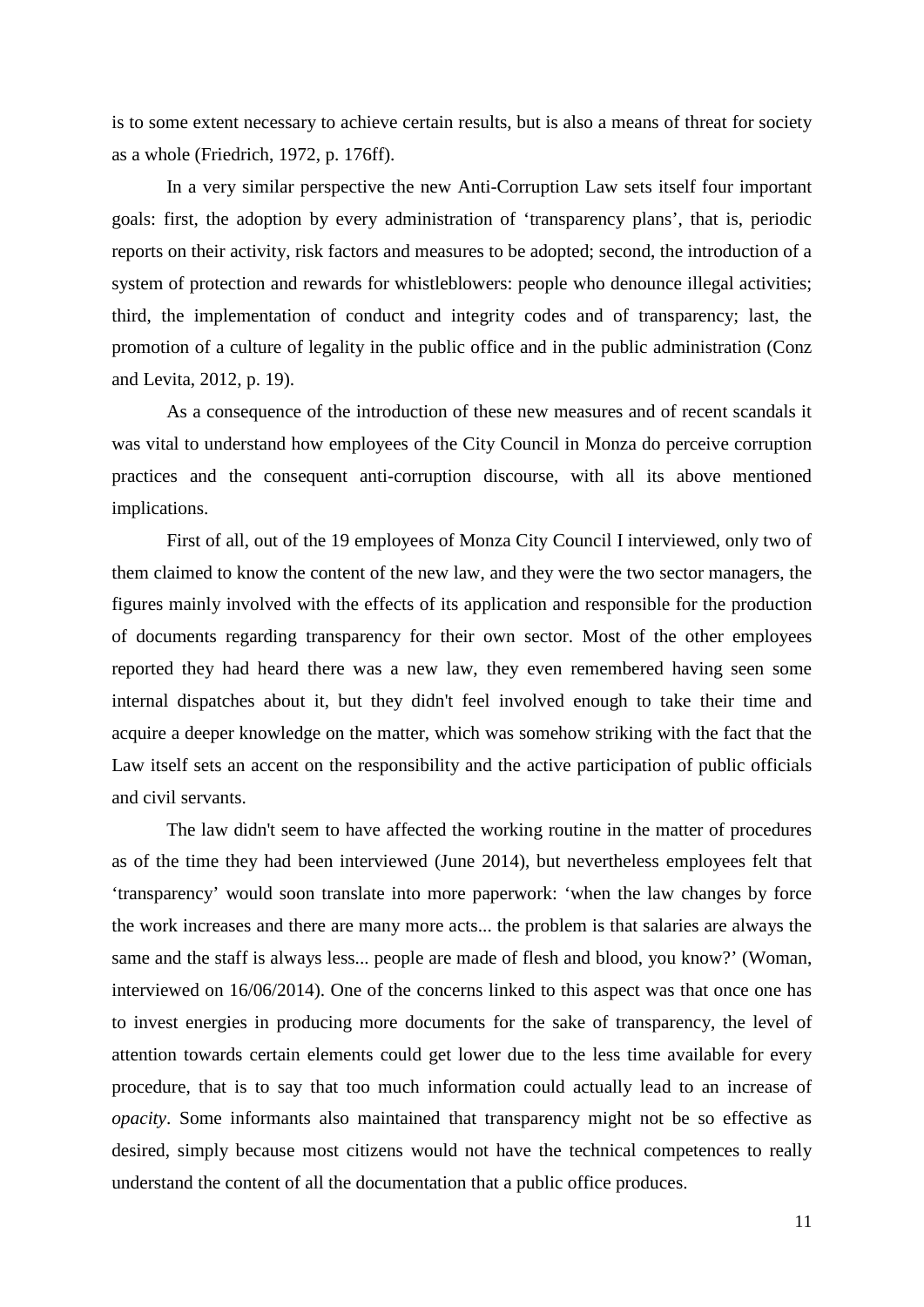is to some extent necessary to achieve certain results, but is also a means of threat for society as a whole (Friedrich, 1972, p. 176ff).

In a very similar perspective the new Anti-Corruption Law sets itself four important goals: first, the adoption by every administration of 'transparency plans', that is, periodic reports on their activity, risk factors and measures to be adopted; second, the introduction of a system of protection and rewards for whistleblowers: people who denounce illegal activities; third, the implementation of conduct and integrity codes and of transparency; last, the promotion of a culture of legality in the public office and in the public administration (Conz and Levita, 2012, p. 19).

As a consequence of the introduction of these new measures and of recent scandals it was vital to understand how employees of the City Council in Monza do perceive corruption practices and the consequent anti-corruption discourse, with all its above mentioned implications.

First of all, out of the 19 employees of Monza City Council I interviewed, only two of them claimed to know the content of the new law, and they were the two sector managers, the figures mainly involved with the effects of its application and responsible for the production of documents regarding transparency for their own sector. Most of the other employees reported they had heard there was a new law, they even remembered having seen some internal dispatches about it, but they didn't feel involved enough to take their time and acquire a deeper knowledge on the matter, which was somehow striking with the fact that the Law itself sets an accent on the responsibility and the active participation of public officials and civil servants.

The law didn't seem to have affected the working routine in the matter of procedures as of the time they had been interviewed (June 2014), but nevertheless employees felt that 'transparency' would soon translate into more paperwork: 'when the law changes by force the work increases and there are many more acts... the problem is that salaries are always the same and the staff is always less... people are made of flesh and blood, you know?' (Woman, interviewed on 16/06/2014). One of the concerns linked to this aspect was that once one has to invest energies in producing more documents for the sake of transparency, the level of attention towards certain elements could get lower due to the less time available for every procedure, that is to say that too much information could actually lead to an increase of *opacity*. Some informants also maintained that transparency might not be so effective as desired, simply because most citizens would not have the technical competences to really understand the content of all the documentation that a public office produces.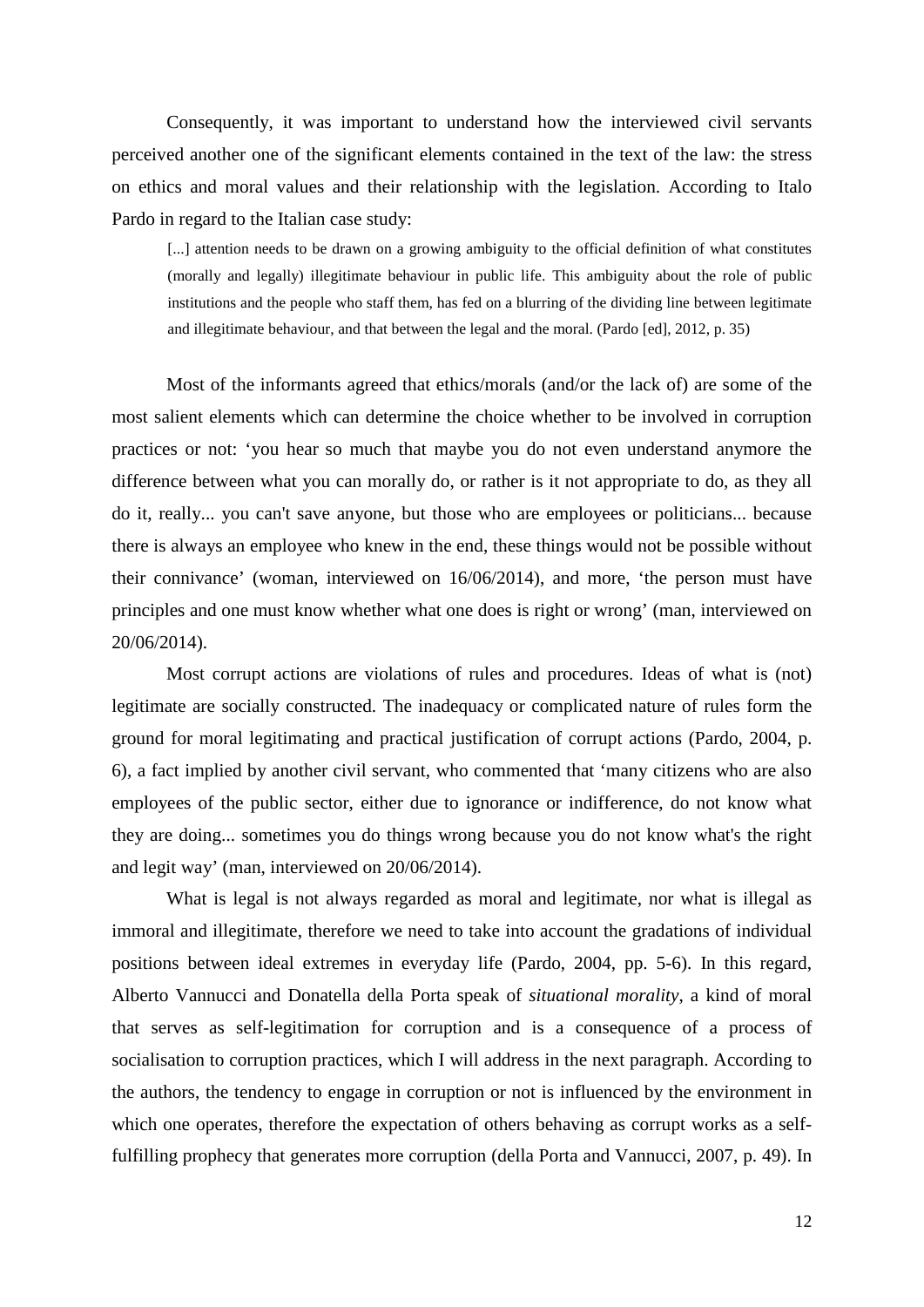Consequently, it was important to understand how the interviewed civil servants perceived another one of the significant elements contained in the text of the law: the stress on ethics and moral values and their relationship with the legislation. According to Italo Pardo in regard to the Italian case study:

[...] attention needs to be drawn on a growing ambiguity to the official definition of what constitutes (morally and legally) illegitimate behaviour in public life. This ambiguity about the role of public institutions and the people who staff them, has fed on a blurring of the dividing line between legitimate and illegitimate behaviour, and that between the legal and the moral. (Pardo [ed], 2012, p. 35)

Most of the informants agreed that ethics/morals (and/or the lack of) are some of the most salient elements which can determine the choice whether to be involved in corruption practices or not: 'you hear so much that maybe you do not even understand anymore the difference between what you can morally do, or rather is it not appropriate to do, as they all do it, really... you can't save anyone, but those who are employees or politicians... because there is always an employee who knew in the end, these things would not be possible without their connivance' (woman, interviewed on 16/06/2014), and more, 'the person must have principles and one must know whether what one does is right or wrong' (man, interviewed on 20/06/2014).

Most corrupt actions are violations of rules and procedures. Ideas of what is (not) legitimate are socially constructed. The inadequacy or complicated nature of rules form the ground for moral legitimating and practical justification of corrupt actions (Pardo, 2004, p. 6), a fact implied by another civil servant, who commented that 'many citizens who are also employees of the public sector, either due to ignorance or indifference, do not know what they are doing... sometimes you do things wrong because you do not know what's the right and legit way' (man, interviewed on 20/06/2014).

What is legal is not always regarded as moral and legitimate, nor what is illegal as immoral and illegitimate, therefore we need to take into account the gradations of individual positions between ideal extremes in everyday life (Pardo, 2004, pp. 5-6). In this regard, Alberto Vannucci and Donatella della Porta speak of *situational morality*, a kind of moral that serves as self-legitimation for corruption and is a consequence of a process of socialisation to corruption practices, which I will address in the next paragraph. According to the authors, the tendency to engage in corruption or not is influenced by the environment in which one operates, therefore the expectation of others behaving as corrupt works as a selffulfilling prophecy that generates more corruption (della Porta and Vannucci, 2007, p. 49). In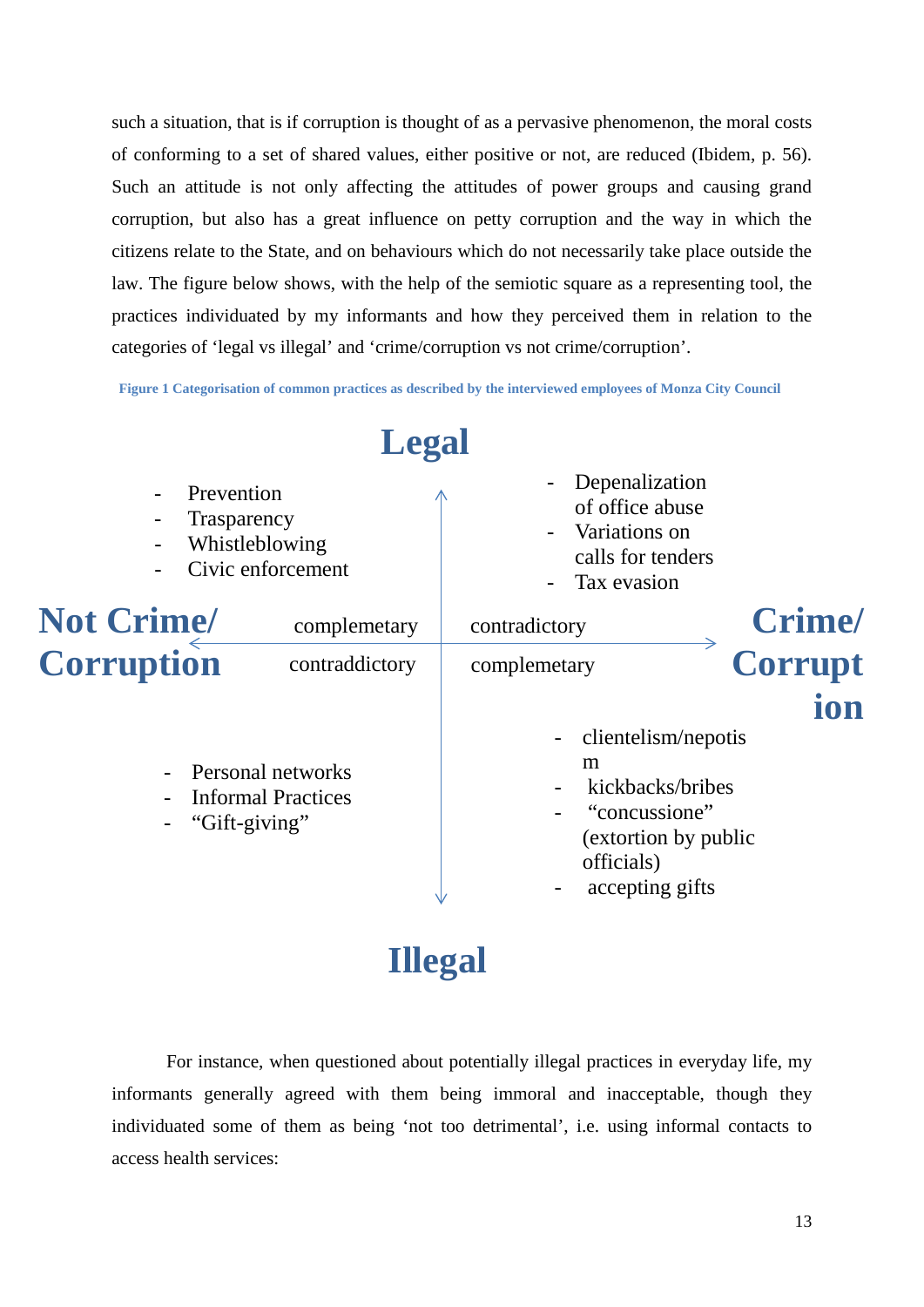such a situation, that is if corruption is thought of as a pervasive phenomenon, the moral costs of conforming to a set of shared values, either positive or not, are reduced (Ibidem, p. 56). Such an attitude is not only affecting the attitudes of power groups and causing grand corruption, but also has a great influence on petty corruption and the way in which the citizens relate to the State, and on behaviours which do not necessarily take place outside the law. The figure below shows, with the help of the semiotic square as a representing tool, the practices individuated by my informants and how they perceived them in relation to the categories of 'legal vs illegal' and 'crime/corruption vs not crime/corruption'.

**Figure 1 Categorisation of common practices as described by the interviewed employees of Monza City Council**

|                                                                  |  | <b>Legal</b>                                                                                                                   |                                                                                        |                |
|------------------------------------------------------------------|--|--------------------------------------------------------------------------------------------------------------------------------|----------------------------------------------------------------------------------------|----------------|
| Prevention<br>Trasparency<br>Whistleblowing<br>Civic enforcement |  |                                                                                                                                | Depenalization<br>of office abuse<br>Variations on<br>calls for tenders<br>Tax evasion |                |
| <b>Not Crime/</b>                                                |  | complemetary                                                                                                                   | contradictory                                                                          | <b>Crime</b>   |
| <b>Corruption</b>                                                |  | contraddictory                                                                                                                 | complemetary                                                                           | <b>Corrupt</b> |
| Personal networks<br><b>Informal Practices</b><br>"Gift-giving"  |  | ion<br>clientelism/nepotis<br>m<br>kickbacks/bribes<br>"concussione"<br>(extortion by public)<br>officials)<br>accepting gifts |                                                                                        |                |

# **Illegal**

For instance, when questioned about potentially illegal practices in everyday life, my informants generally agreed with them being immoral and inacceptable, though they individuated some of them as being 'not too detrimental', i.e. using informal contacts to access health services: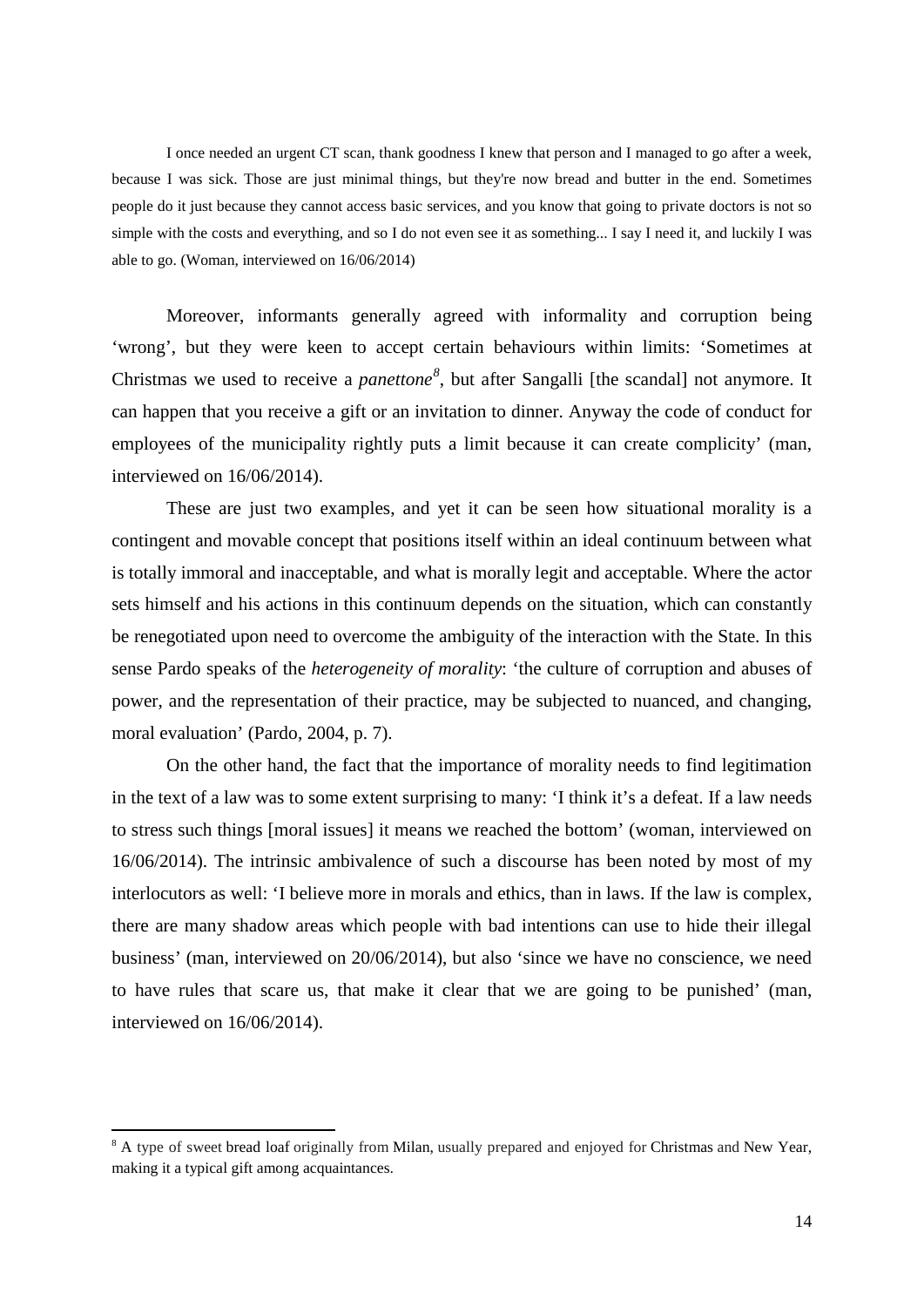I once needed an urgent CT scan, thank goodness I knew that person and I managed to go after a week, because I was sick. Those are just minimal things, but they're now bread and butter in the end. Sometimes people do it just because they cannot access basic services, and you know that going to private doctors is not so simple with the costs and everything, and so I do not even see it as something... I say I need it, and luckily I was able to go. (Woman, interviewed on 16/06/2014)

Moreover, informants generally agreed with informality and corruption being 'wrong', but they were keen to accept certain behaviours within limits: 'Sometimes at Christmas we used to receive a *panettone*<sup>[8](#page-13-0)</sup>, but after Sangalli [the scandal] not anymore. It can happen that you receive a gift or an invitation to dinner. Anyway the code of conduct for employees of the municipality rightly puts a limit because it can create complicity' (man, interviewed on 16/06/2014).

These are just two examples, and yet it can be seen how situational morality is a contingent and movable concept that positions itself within an ideal continuum between what is totally immoral and inacceptable, and what is morally legit and acceptable. Where the actor sets himself and his actions in this continuum depends on the situation, which can constantly be renegotiated upon need to overcome the ambiguity of the interaction with the State. In this sense Pardo speaks of the *heterogeneity of morality*: 'the culture of corruption and abuses of power, and the representation of their practice, may be subjected to nuanced, and changing, moral evaluation' (Pardo, 2004, p. 7).

On the other hand, the fact that the importance of morality needs to find legitimation in the text of a law was to some extent surprising to many: 'I think it's a defeat. If a law needs to stress such things [moral issues] it means we reached the bottom' (woman, interviewed on 16/06/2014). The intrinsic ambivalence of such a discourse has been noted by most of my interlocutors as well: 'I believe more in morals and ethics, than in laws. If the law is complex, there are many shadow areas which people with bad intentions can use to hide their illegal business' (man, interviewed on 20/06/2014), but also 'since we have no conscience, we need to have rules that scare us, that make it clear that we are going to be punished' (man, interviewed on 16/06/2014).

 $\overline{\phantom{a}}$ 

<span id="page-13-0"></span><sup>&</sup>lt;sup>8</sup> A type of sweet bread loaf originally from Milan, usually prepared and enjoyed for Christmas and New Year, making it a typical gift among acquaintances.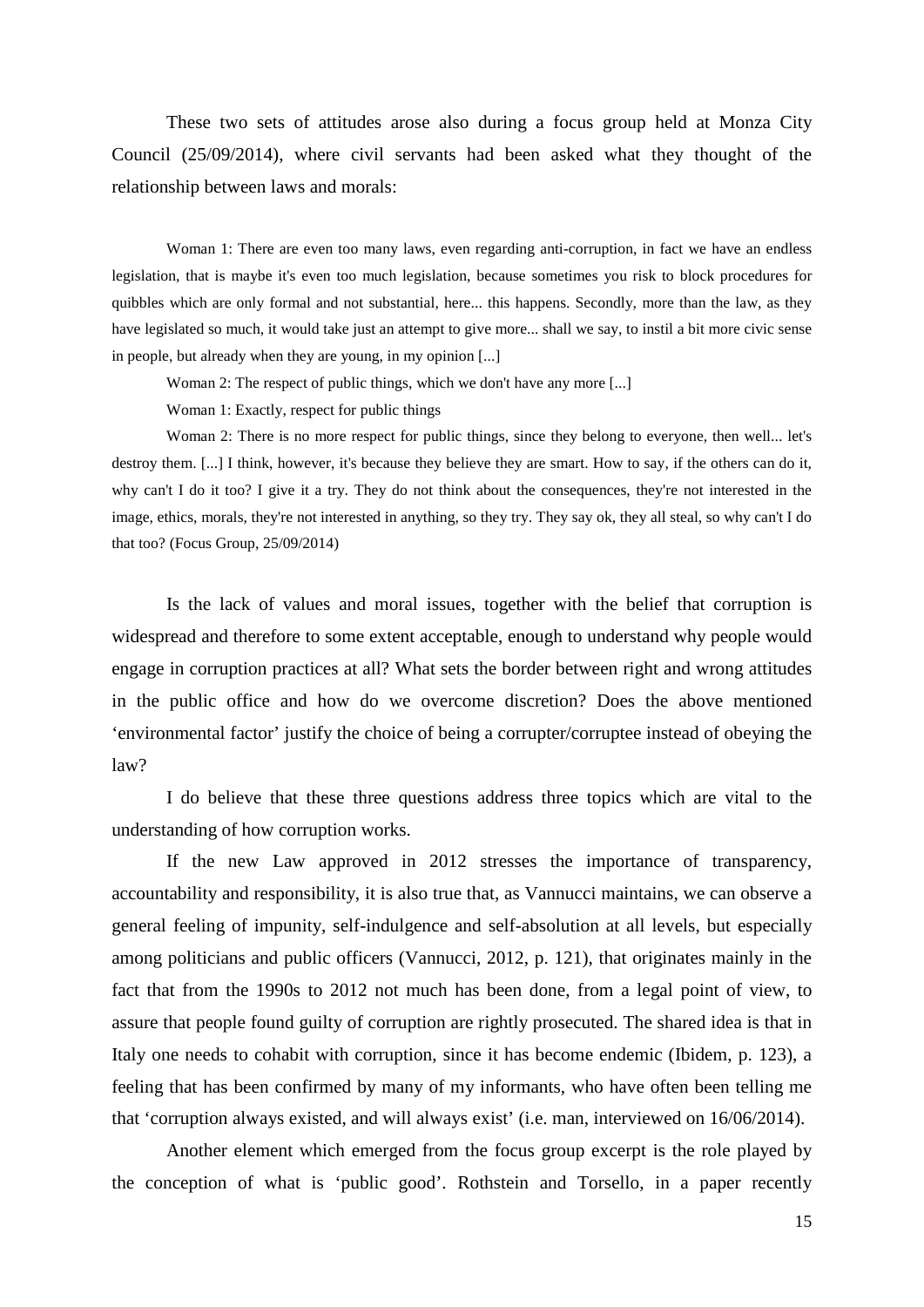These two sets of attitudes arose also during a focus group held at Monza City Council (25/09/2014), where civil servants had been asked what they thought of the relationship between laws and morals:

Woman 1: There are even too many laws, even regarding anti-corruption, in fact we have an endless legislation, that is maybe it's even too much legislation, because sometimes you risk to block procedures for quibbles which are only formal and not substantial, here... this happens. Secondly, more than the law, as they have legislated so much, it would take just an attempt to give more... shall we say, to instil a bit more civic sense in people, but already when they are young, in my opinion [...]

Woman 2: The respect of public things, which we don't have any more [...]

Woman 1: Exactly, respect for public things

Woman 2: There is no more respect for public things, since they belong to everyone, then well... let's destroy them. [...] I think, however, it's because they believe they are smart. How to say, if the others can do it, why can't I do it too? I give it a try. They do not think about the consequences, they're not interested in the image, ethics, morals, they're not interested in anything, so they try. They say ok, they all steal, so why can't I do that too? (Focus Group, 25/09/2014)

Is the lack of values and moral issues, together with the belief that corruption is widespread and therefore to some extent acceptable, enough to understand why people would engage in corruption practices at all? What sets the border between right and wrong attitudes in the public office and how do we overcome discretion? Does the above mentioned 'environmental factor' justify the choice of being a corrupter/corruptee instead of obeying the law?

I do believe that these three questions address three topics which are vital to the understanding of how corruption works.

If the new Law approved in 2012 stresses the importance of transparency, accountability and responsibility, it is also true that, as Vannucci maintains, we can observe a general feeling of impunity, self-indulgence and self-absolution at all levels, but especially among politicians and public officers (Vannucci, 2012, p. 121), that originates mainly in the fact that from the 1990s to 2012 not much has been done, from a legal point of view, to assure that people found guilty of corruption are rightly prosecuted. The shared idea is that in Italy one needs to cohabit with corruption, since it has become endemic (Ibidem, p. 123), a feeling that has been confirmed by many of my informants, who have often been telling me that 'corruption always existed, and will always exist' (i.e. man, interviewed on 16/06/2014).

Another element which emerged from the focus group excerpt is the role played by the conception of what is 'public good'. Rothstein and Torsello, in a paper recently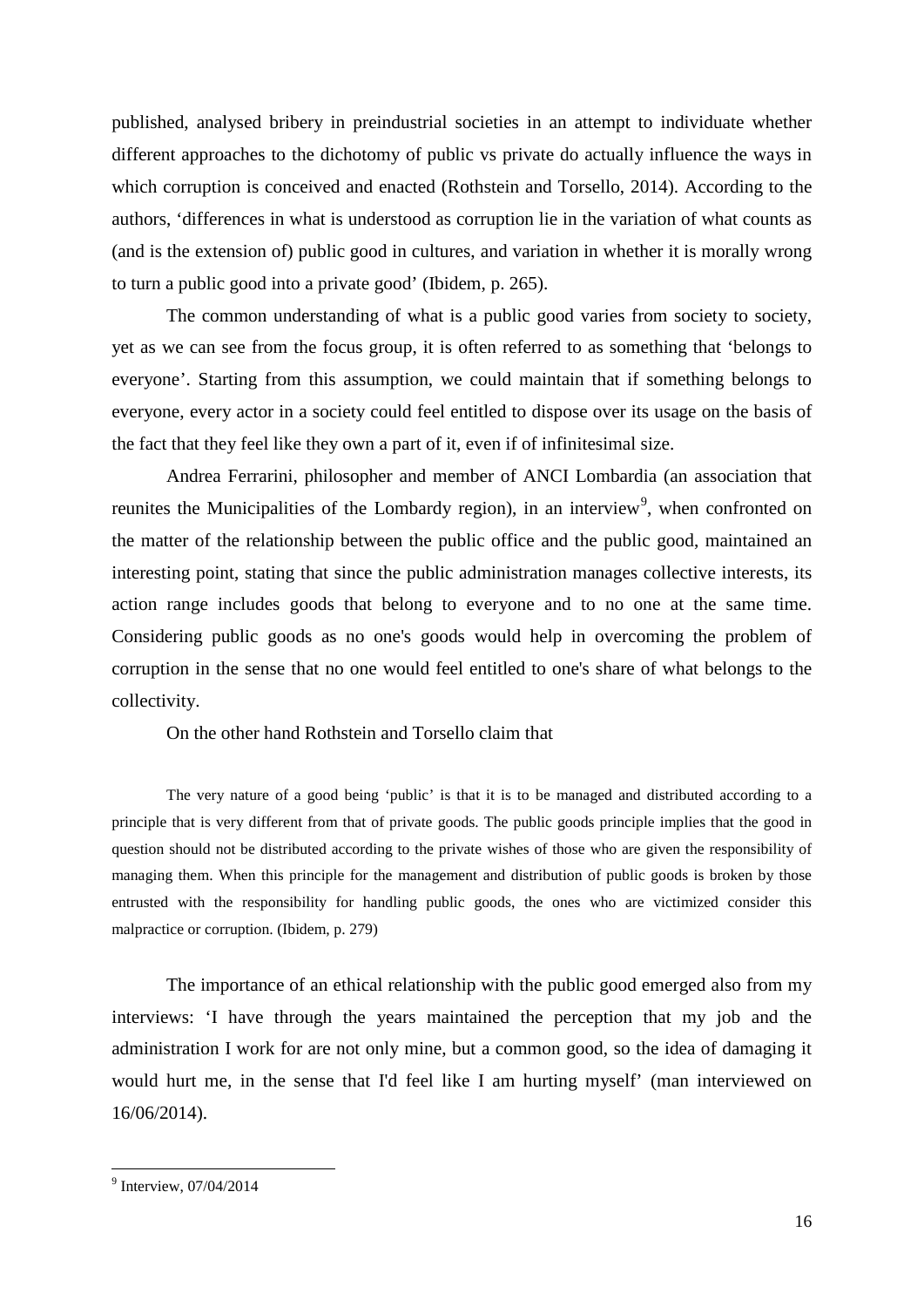published, analysed bribery in preindustrial societies in an attempt to individuate whether different approaches to the dichotomy of public vs private do actually influence the ways in which corruption is conceived and enacted (Rothstein and Torsello, 2014). According to the authors, 'differences in what is understood as corruption lie in the variation of what counts as (and is the extension of) public good in cultures, and variation in whether it is morally wrong to turn a public good into a private good' (Ibidem, p. 265).

The common understanding of what is a public good varies from society to society, yet as we can see from the focus group, it is often referred to as something that 'belongs to everyone'. Starting from this assumption, we could maintain that if something belongs to everyone, every actor in a society could feel entitled to dispose over its usage on the basis of the fact that they feel like they own a part of it, even if of infinitesimal size.

Andrea Ferrarini, philosopher and member of ANCI Lombardia (an association that reunites the Municipalities of the Lombardy region), in an interview<sup>[9](#page-15-0)</sup>, when confronted on the matter of the relationship between the public office and the public good, maintained an interesting point, stating that since the public administration manages collective interests, its action range includes goods that belong to everyone and to no one at the same time. Considering public goods as no one's goods would help in overcoming the problem of corruption in the sense that no one would feel entitled to one's share of what belongs to the collectivity.

On the other hand Rothstein and Torsello claim that

The very nature of a good being 'public' is that it is to be managed and distributed according to a principle that is very different from that of private goods. The public goods principle implies that the good in question should not be distributed according to the private wishes of those who are given the responsibility of managing them. When this principle for the management and distribution of public goods is broken by those entrusted with the responsibility for handling public goods, the ones who are victimized consider this malpractice or corruption. (Ibidem, p. 279)

The importance of an ethical relationship with the public good emerged also from my interviews: 'I have through the years maintained the perception that my job and the administration I work for are not only mine, but a common good, so the idea of damaging it would hurt me, in the sense that I'd feel like I am hurting myself' (man interviewed on 16/06/2014).

<span id="page-15-0"></span> $9$  Interview, 07/04/2014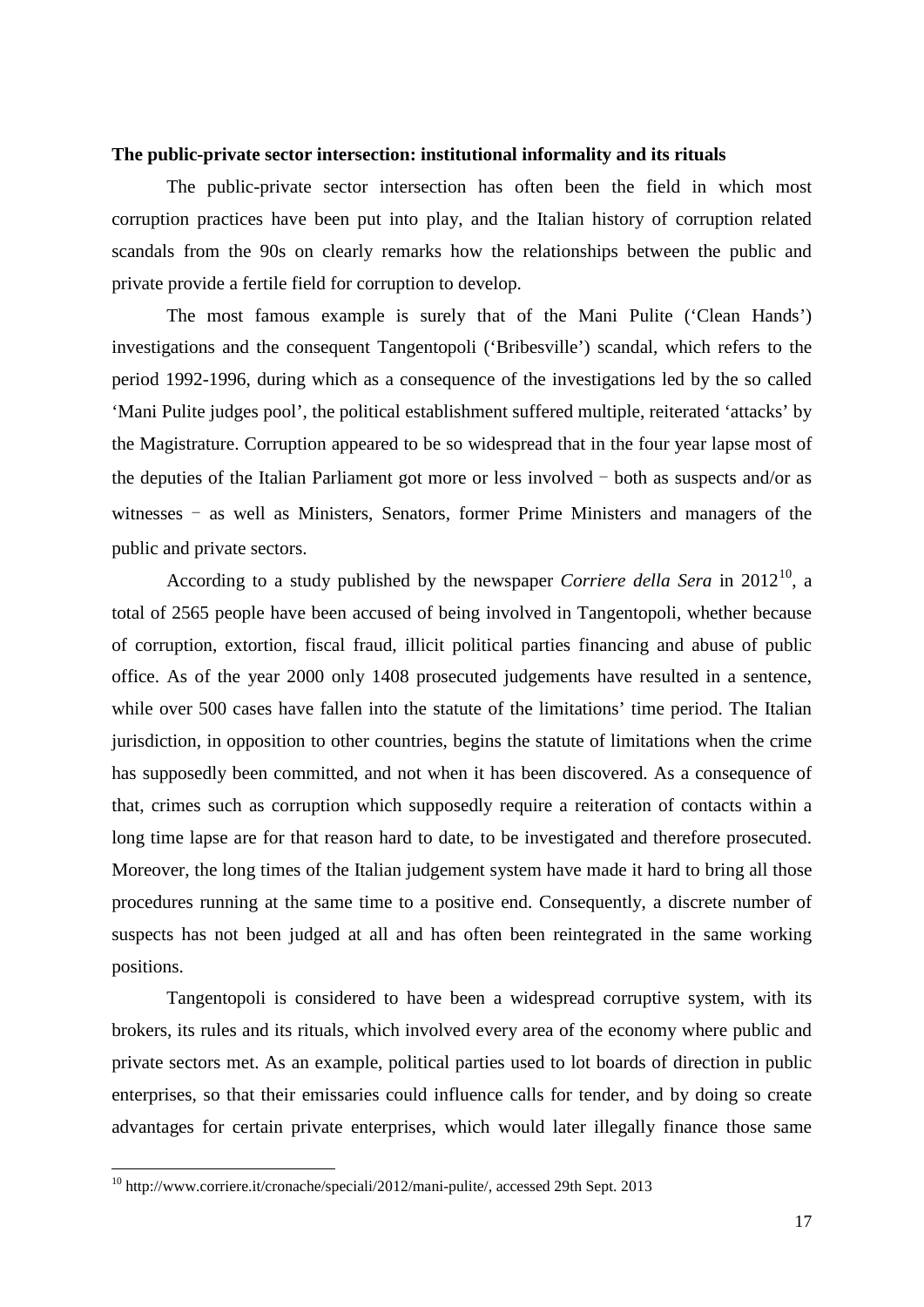#### **The public-private sector intersection: institutional informality and its rituals**

The public-private sector intersection has often been the field in which most corruption practices have been put into play, and the Italian history of corruption related scandals from the 90s on clearly remarks how the relationships between the public and private provide a fertile field for corruption to develop.

The most famous example is surely that of the Mani Pulite ('Clean Hands') investigations and the consequent Tangentopoli ('Bribesville') scandal, which refers to the period 1992-1996, during which as a consequence of the investigations led by the so called 'Mani Pulite judges pool', the political establishment suffered multiple, reiterated 'attacks' by the Magistrature. Corruption appeared to be so widespread that in the four year lapse most of the deputies of the Italian Parliament got more or less involved  $-$  both as suspects and/or as witnesses – as well as Ministers, Senators, former Prime Ministers and managers of the public and private sectors.

According to a study published by the newspaper *Corriere della Sera* in 2012<sup>[10](#page-16-0)</sup>, a total of 2565 people have been accused of being involved in Tangentopoli, whether because of corruption, extortion, fiscal fraud, illicit political parties financing and abuse of public office. As of the year 2000 only 1408 prosecuted judgements have resulted in a sentence, while over 500 cases have fallen into the statute of the limitations' time period. The Italian jurisdiction, in opposition to other countries, begins the statute of limitations when the crime has supposedly been committed, and not when it has been discovered. As a consequence of that, crimes such as corruption which supposedly require a reiteration of contacts within a long time lapse are for that reason hard to date, to be investigated and therefore prosecuted. Moreover, the long times of the Italian judgement system have made it hard to bring all those procedures running at the same time to a positive end. Consequently, a discrete number of suspects has not been judged at all and has often been reintegrated in the same working positions.

Tangentopoli is considered to have been a widespread corruptive system, with its brokers, its rules and its rituals, which involved every area of the economy where public and private sectors met. As an example, political parties used to lot boards of direction in public enterprises, so that their emissaries could influence calls for tender, and by doing so create advantages for certain private enterprises, which would later illegally finance those same

<span id="page-16-0"></span><sup>&</sup>lt;sup>10</sup> http://www.corriere.it/cronache/speciali/2012/mani-pulite/, accessed 29th Sept. 2013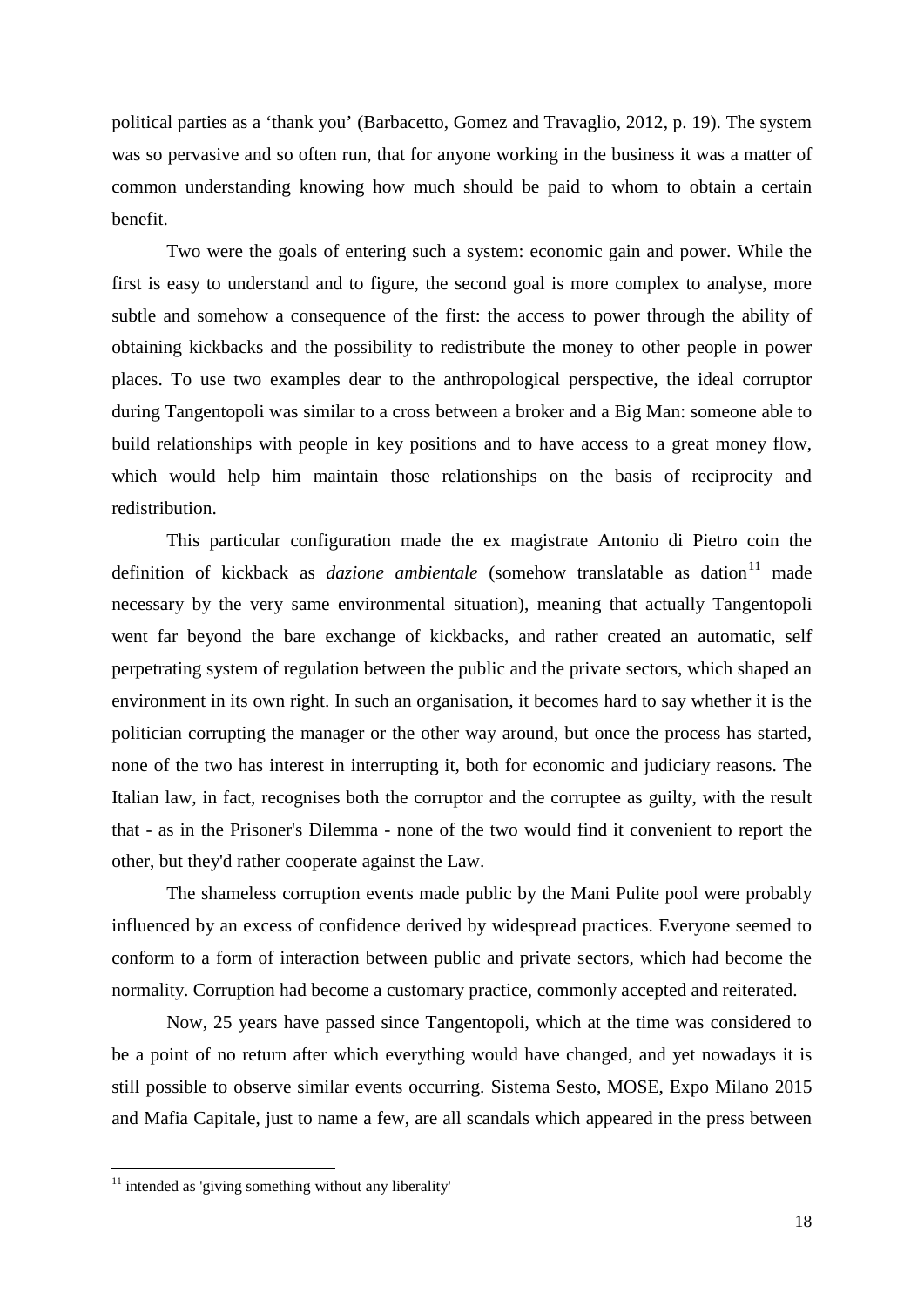political parties as a 'thank you' (Barbacetto, Gomez and Travaglio, 2012, p. 19). The system was so pervasive and so often run, that for anyone working in the business it was a matter of common understanding knowing how much should be paid to whom to obtain a certain benefit.

Two were the goals of entering such a system: economic gain and power. While the first is easy to understand and to figure, the second goal is more complex to analyse, more subtle and somehow a consequence of the first: the access to power through the ability of obtaining kickbacks and the possibility to redistribute the money to other people in power places. To use two examples dear to the anthropological perspective, the ideal corruptor during Tangentopoli was similar to a cross between a broker and a Big Man: someone able to build relationships with people in key positions and to have access to a great money flow, which would help him maintain those relationships on the basis of reciprocity and redistribution.

This particular configuration made the ex magistrate Antonio di Pietro coin the definition of kickback as *dazione ambientale* (somehow translatable as dation<sup>[11](#page-17-0)</sup> made necessary by the very same environmental situation), meaning that actually Tangentopoli went far beyond the bare exchange of kickbacks, and rather created an automatic, self perpetrating system of regulation between the public and the private sectors, which shaped an environment in its own right. In such an organisation, it becomes hard to say whether it is the politician corrupting the manager or the other way around, but once the process has started, none of the two has interest in interrupting it, both for economic and judiciary reasons. The Italian law, in fact, recognises both the corruptor and the corruptee as guilty, with the result that - as in the Prisoner's Dilemma - none of the two would find it convenient to report the other, but they'd rather cooperate against the Law.

The shameless corruption events made public by the Mani Pulite pool were probably influenced by an excess of confidence derived by widespread practices. Everyone seemed to conform to a form of interaction between public and private sectors, which had become the normality. Corruption had become a customary practice, commonly accepted and reiterated.

Now, 25 years have passed since Tangentopoli, which at the time was considered to be a point of no return after which everything would have changed, and yet nowadays it is still possible to observe similar events occurring. Sistema Sesto, MOSE, Expo Milano 2015 and Mafia Capitale, just to name a few, are all scandals which appeared in the press between

<span id="page-17-0"></span> $11$  intended as 'giving something without any liberality'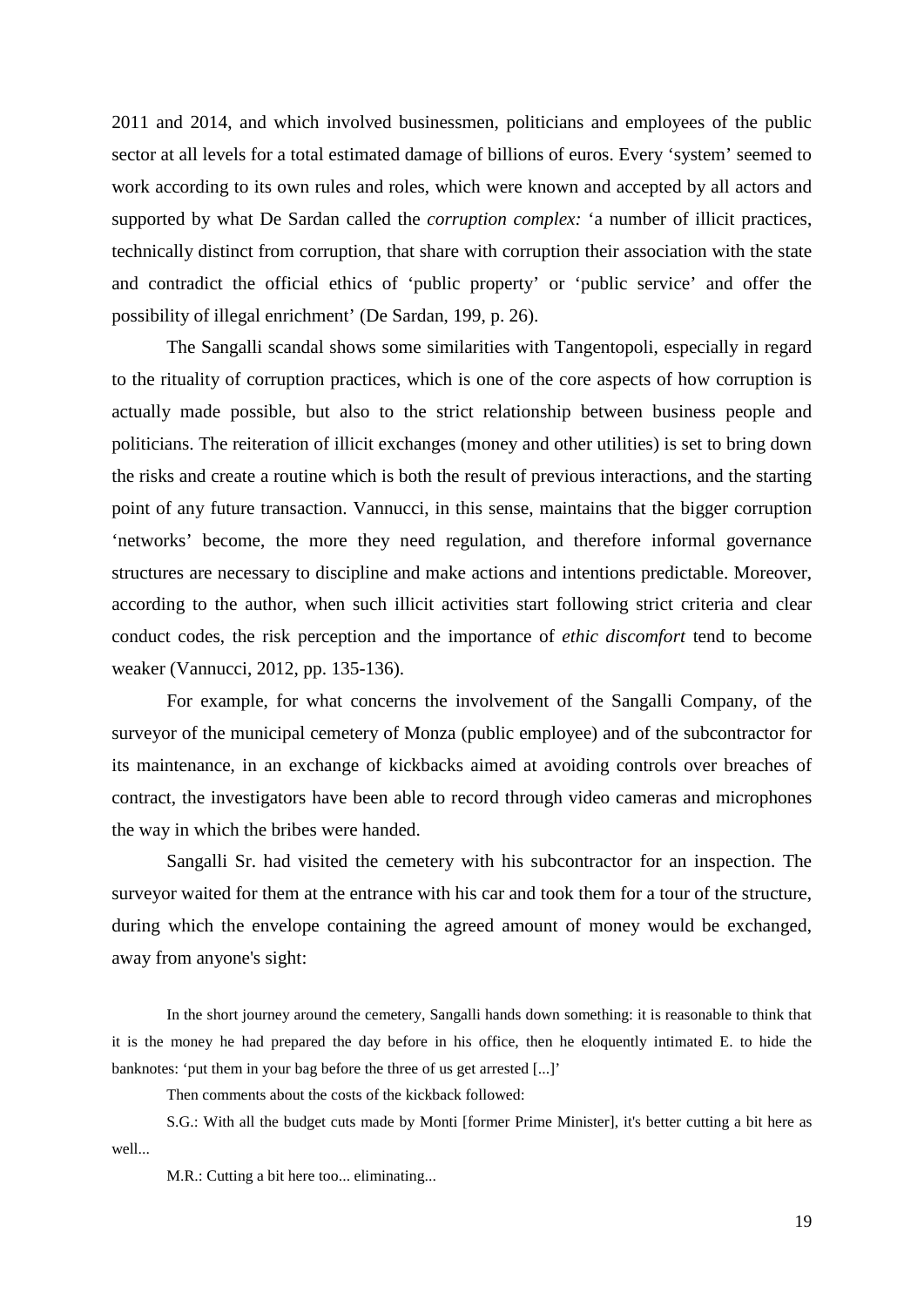2011 and 2014, and which involved businessmen, politicians and employees of the public sector at all levels for a total estimated damage of billions of euros. Every 'system' seemed to work according to its own rules and roles, which were known and accepted by all actors and supported by what De Sardan called the *corruption complex:* 'a number of illicit practices, technically distinct from corruption, that share with corruption their association with the state and contradict the official ethics of 'public property' or 'public service' and offer the possibility of illegal enrichment' (De Sardan, 199, p. 26).

The Sangalli scandal shows some similarities with Tangentopoli, especially in regard to the rituality of corruption practices, which is one of the core aspects of how corruption is actually made possible, but also to the strict relationship between business people and politicians. The reiteration of illicit exchanges (money and other utilities) is set to bring down the risks and create a routine which is both the result of previous interactions, and the starting point of any future transaction. Vannucci, in this sense, maintains that the bigger corruption 'networks' become, the more they need regulation, and therefore informal governance structures are necessary to discipline and make actions and intentions predictable. Moreover, according to the author, when such illicit activities start following strict criteria and clear conduct codes, the risk perception and the importance of *ethic discomfort* tend to become weaker (Vannucci, 2012, pp. 135-136).

For example, for what concerns the involvement of the Sangalli Company, of the surveyor of the municipal cemetery of Monza (public employee) and of the subcontractor for its maintenance, in an exchange of kickbacks aimed at avoiding controls over breaches of contract, the investigators have been able to record through video cameras and microphones the way in which the bribes were handed.

Sangalli Sr. had visited the cemetery with his subcontractor for an inspection. The surveyor waited for them at the entrance with his car and took them for a tour of the structure, during which the envelope containing the agreed amount of money would be exchanged, away from anyone's sight:

In the short journey around the cemetery, Sangalli hands down something: it is reasonable to think that it is the money he had prepared the day before in his office, then he eloquently intimated E. to hide the banknotes: 'put them in your bag before the three of us get arrested [...]'

Then comments about the costs of the kickback followed:

S.G.: With all the budget cuts made by Monti [former Prime Minister], it's better cutting a bit here as well...

M.R.: Cutting a bit here too... eliminating...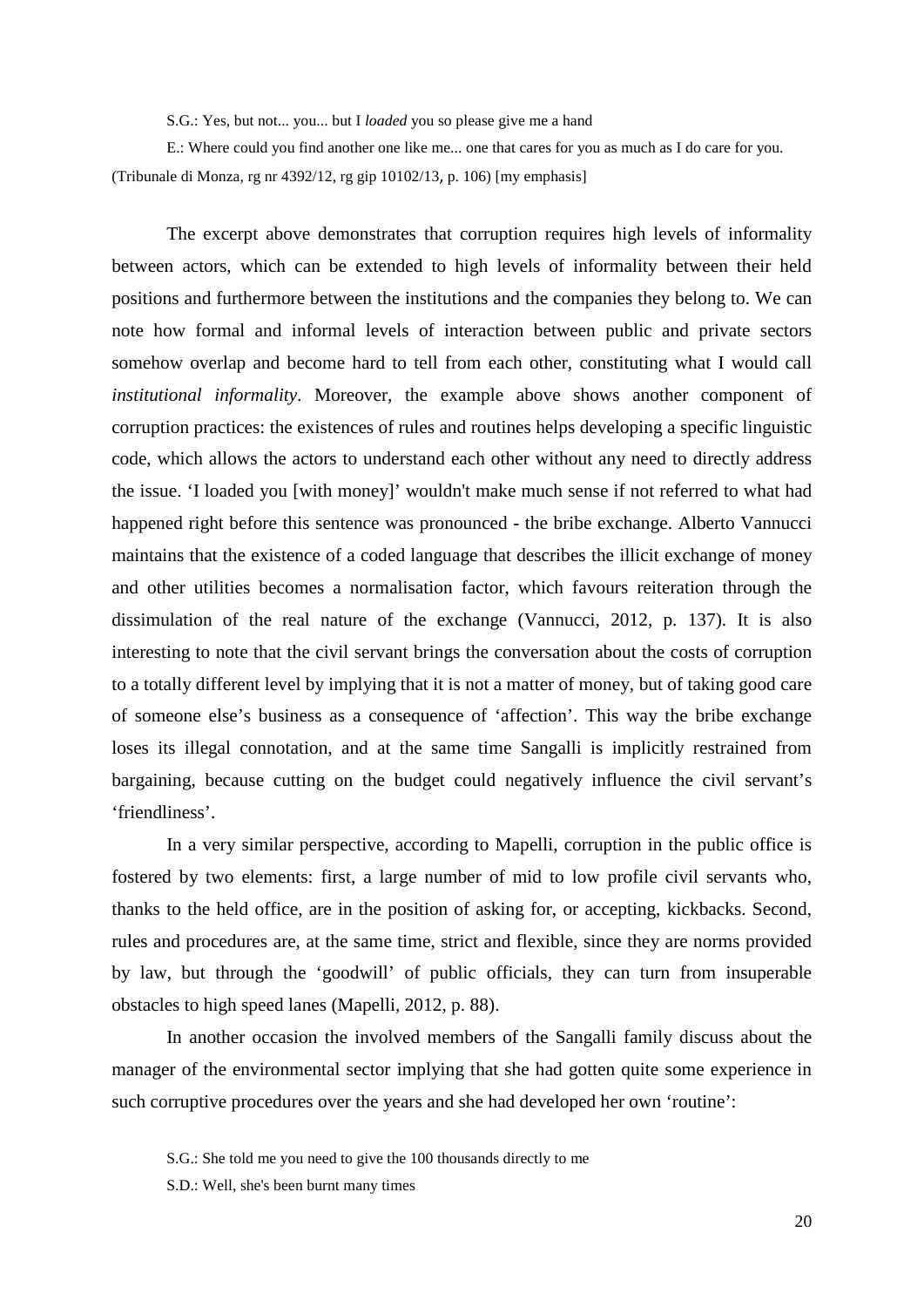S.G.: Yes, but not... you... but I *loaded* you so please give me a hand

E.: Where could you find another one like me... one that cares for you as much as I do care for you. (Tribunale di Monza, rg nr 4392/12, rg gip 10102/13, p. 106) [my emphasis]

The excerpt above demonstrates that corruption requires high levels of informality between actors, which can be extended to high levels of informality between their held positions and furthermore between the institutions and the companies they belong to. We can note how formal and informal levels of interaction between public and private sectors somehow overlap and become hard to tell from each other, constituting what I would call *institutional informality*. Moreover, the example above shows another component of corruption practices: the existences of rules and routines helps developing a specific linguistic code, which allows the actors to understand each other without any need to directly address the issue. 'I loaded you [with money]' wouldn't make much sense if not referred to what had happened right before this sentence was pronounced - the bribe exchange. Alberto Vannucci maintains that the existence of a coded language that describes the illicit exchange of money and other utilities becomes a normalisation factor, which favours reiteration through the dissimulation of the real nature of the exchange (Vannucci, 2012, p. 137). It is also interesting to note that the civil servant brings the conversation about the costs of corruption to a totally different level by implying that it is not a matter of money, but of taking good care of someone else's business as a consequence of 'affection'. This way the bribe exchange loses its illegal connotation, and at the same time Sangalli is implicitly restrained from bargaining, because cutting on the budget could negatively influence the civil servant's 'friendliness'.

In a very similar perspective, according to Mapelli, corruption in the public office is fostered by two elements: first, a large number of mid to low profile civil servants who, thanks to the held office, are in the position of asking for, or accepting, kickbacks. Second, rules and procedures are, at the same time, strict and flexible, since they are norms provided by law, but through the 'goodwill' of public officials, they can turn from insuperable obstacles to high speed lanes (Mapelli, 2012, p. 88).

In another occasion the involved members of the Sangalli family discuss about the manager of the environmental sector implying that she had gotten quite some experience in such corruptive procedures over the years and she had developed her own 'routine':

S.G.: She told me you need to give the 100 thousands directly to me

S.D.: Well, she's been burnt many times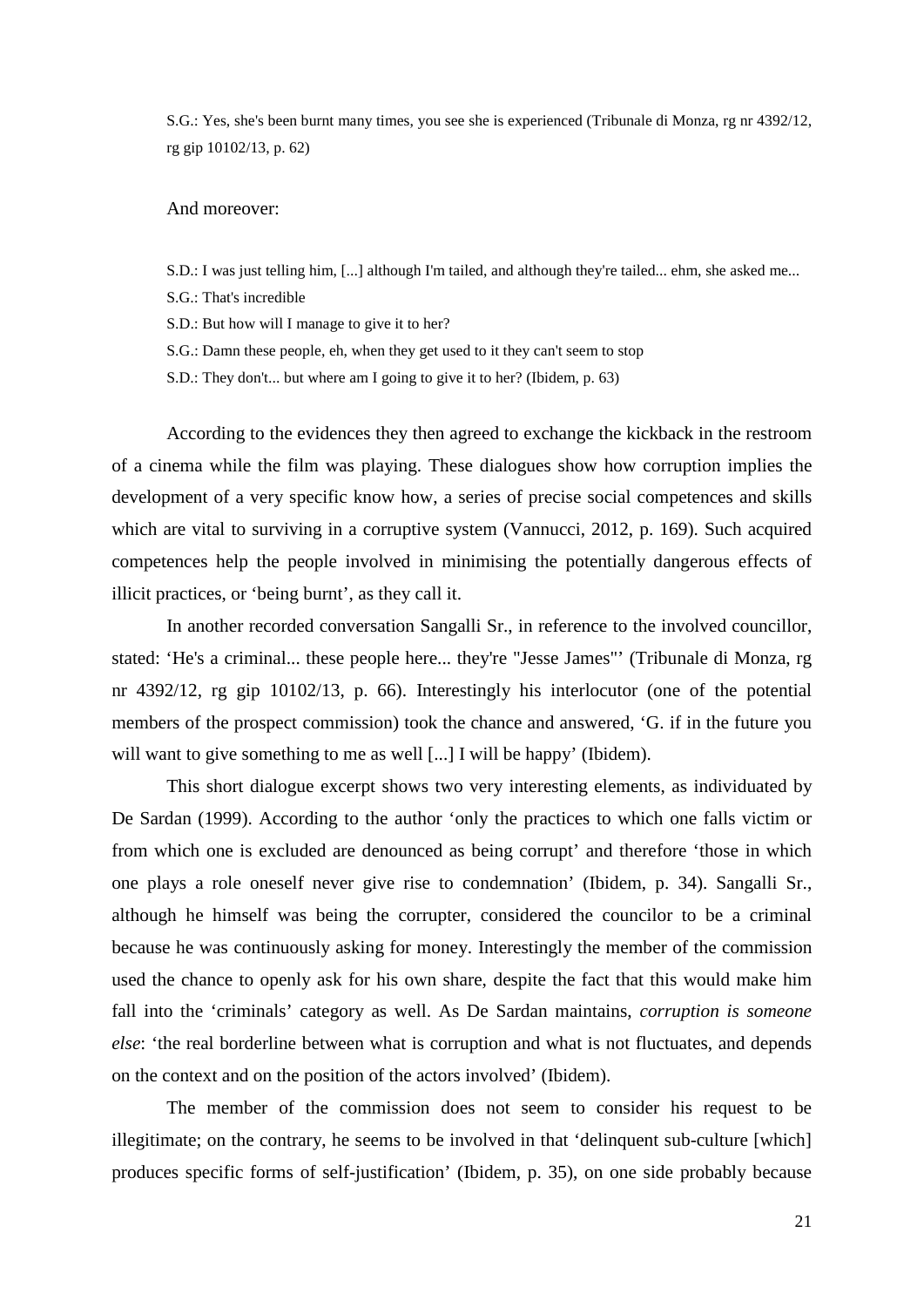S.G.: Yes, she's been burnt many times, you see she is experienced (Tribunale di Monza, rg nr 4392/12, rg gip 10102/13, p. 62)

#### And moreover:

- S.D.: I was just telling him, [...] although I'm tailed, and although they're tailed... ehm, she asked me...
- S.G.: That's incredible

S.D.: But how will I manage to give it to her?

- S.G.: Damn these people, eh, when they get used to it they can't seem to stop
- S.D.: They don't... but where am I going to give it to her? (Ibidem, p. 63)

According to the evidences they then agreed to exchange the kickback in the restroom of a cinema while the film was playing. These dialogues show how corruption implies the development of a very specific know how, a series of precise social competences and skills which are vital to surviving in a corruptive system (Vannucci, 2012, p. 169). Such acquired competences help the people involved in minimising the potentially dangerous effects of illicit practices, or 'being burnt', as they call it.

In another recorded conversation Sangalli Sr., in reference to the involved councillor, stated: 'He's a criminal... these people here... they're "Jesse James"' (Tribunale di Monza, rg nr 4392/12, rg gip 10102/13, p. 66). Interestingly his interlocutor (one of the potential members of the prospect commission) took the chance and answered, 'G. if in the future you will want to give something to me as well [...] I will be happy' (Ibidem).

This short dialogue excerpt shows two very interesting elements, as individuated by De Sardan (1999). According to the author 'only the practices to which one falls victim or from which one is excluded are denounced as being corrupt' and therefore 'those in which one plays a role oneself never give rise to condemnation' (Ibidem, p. 34). Sangalli Sr., although he himself was being the corrupter, considered the councilor to be a criminal because he was continuously asking for money. Interestingly the member of the commission used the chance to openly ask for his own share, despite the fact that this would make him fall into the 'criminals' category as well. As De Sardan maintains, *corruption is someone else*: 'the real borderline between what is corruption and what is not fluctuates, and depends on the context and on the position of the actors involved' (Ibidem).

The member of the commission does not seem to consider his request to be illegitimate; on the contrary, he seems to be involved in that 'delinquent sub-culture [which] produces specific forms of self-justification' (Ibidem, p. 35), on one side probably because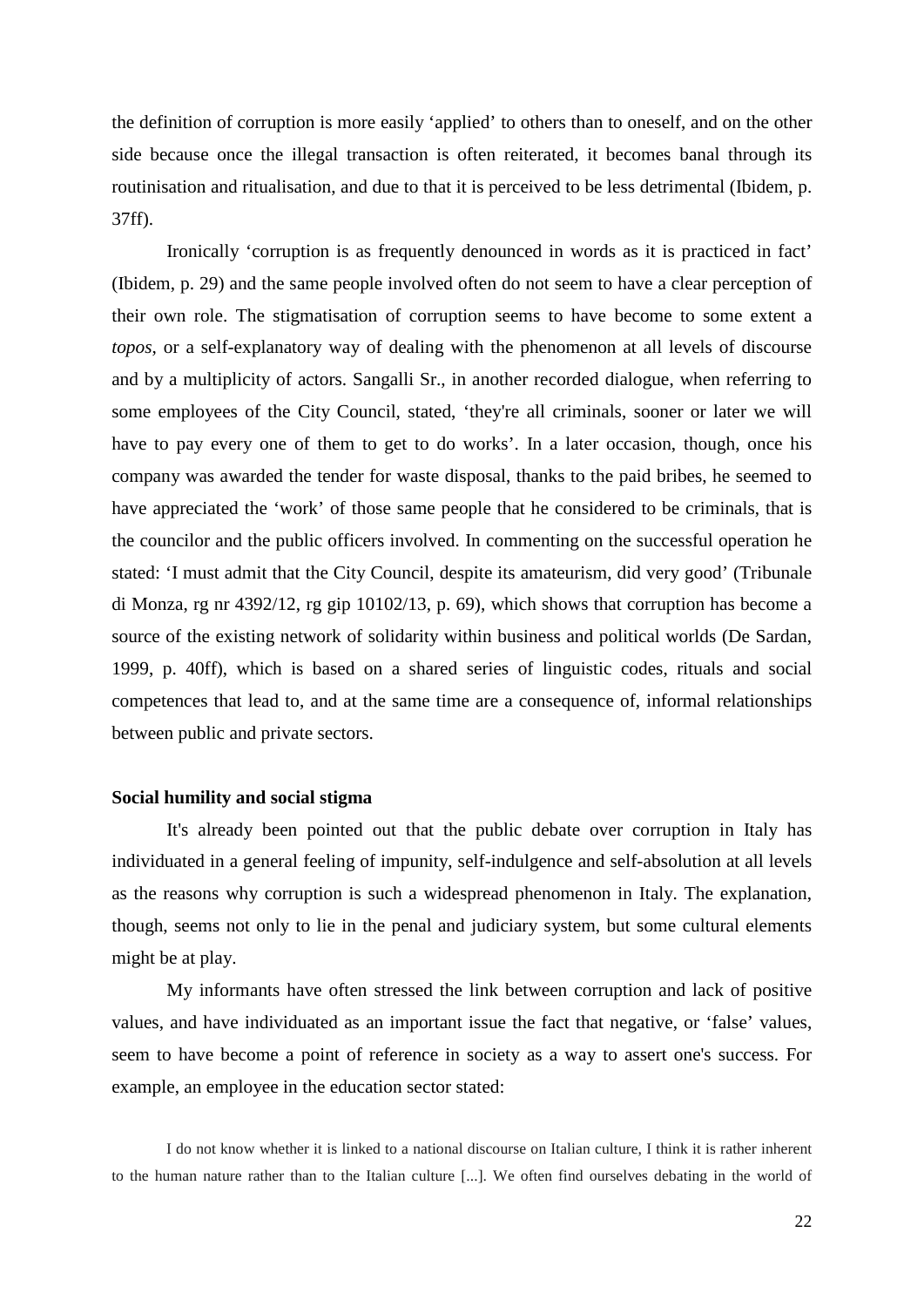the definition of corruption is more easily 'applied' to others than to oneself, and on the other side because once the illegal transaction is often reiterated, it becomes banal through its routinisation and ritualisation, and due to that it is perceived to be less detrimental (Ibidem, p. 37ff).

Ironically 'corruption is as frequently denounced in words as it is practiced in fact' (Ibidem, p. 29) and the same people involved often do not seem to have a clear perception of their own role. The stigmatisation of corruption seems to have become to some extent a *topos*, or a self-explanatory way of dealing with the phenomenon at all levels of discourse and by a multiplicity of actors. Sangalli Sr., in another recorded dialogue, when referring to some employees of the City Council, stated, 'they're all criminals, sooner or later we will have to pay every one of them to get to do works'. In a later occasion, though, once his company was awarded the tender for waste disposal, thanks to the paid bribes, he seemed to have appreciated the 'work' of those same people that he considered to be criminals, that is the councilor and the public officers involved. In commenting on the successful operation he stated: 'I must admit that the City Council, despite its amateurism, did very good' (Tribunale di Monza, rg nr 4392/12, rg gip 10102/13, p. 69), which shows that corruption has become a source of the existing network of solidarity within business and political worlds (De Sardan, 1999, p. 40ff), which is based on a shared series of linguistic codes, rituals and social competences that lead to, and at the same time are a consequence of, informal relationships between public and private sectors.

#### **Social humility and social stigma**

It's already been pointed out that the public debate over corruption in Italy has individuated in a general feeling of impunity, self-indulgence and self-absolution at all levels as the reasons why corruption is such a widespread phenomenon in Italy. The explanation, though, seems not only to lie in the penal and judiciary system, but some cultural elements might be at play.

My informants have often stressed the link between corruption and lack of positive values, and have individuated as an important issue the fact that negative, or 'false' values, seem to have become a point of reference in society as a way to assert one's success. For example, an employee in the education sector stated:

I do not know whether it is linked to a national discourse on Italian culture, I think it is rather inherent to the human nature rather than to the Italian culture [...]. We often find ourselves debating in the world of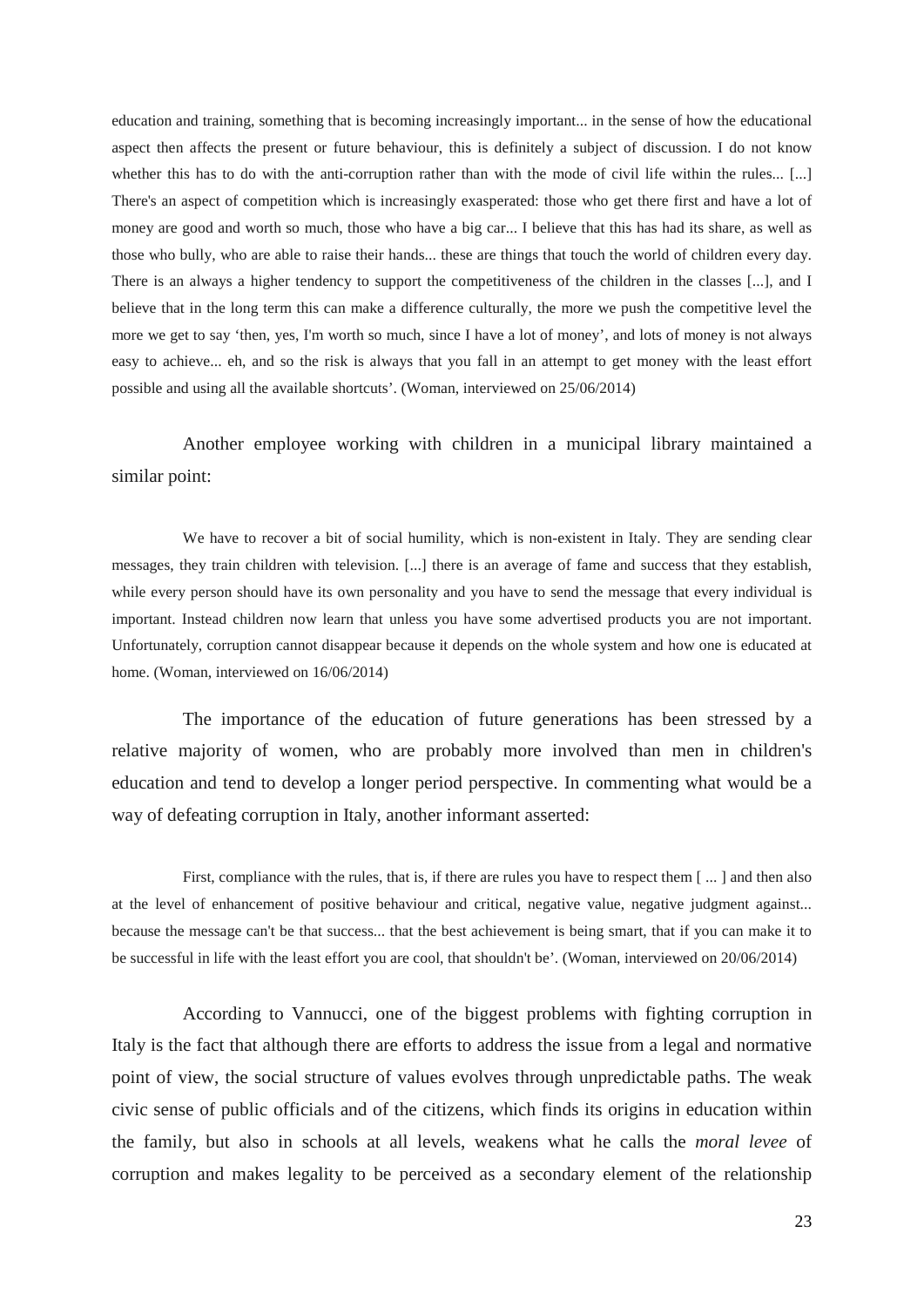education and training, something that is becoming increasingly important... in the sense of how the educational aspect then affects the present or future behaviour, this is definitely a subject of discussion. I do not know whether this has to do with the anti-corruption rather than with the mode of civil life within the rules... [...] There's an aspect of competition which is increasingly exasperated: those who get there first and have a lot of money are good and worth so much, those who have a big car... I believe that this has had its share, as well as those who bully, who are able to raise their hands... these are things that touch the world of children every day. There is an always a higher tendency to support the competitiveness of the children in the classes [...], and I believe that in the long term this can make a difference culturally, the more we push the competitive level the more we get to say 'then, yes, I'm worth so much, since I have a lot of money', and lots of money is not always easy to achieve... eh, and so the risk is always that you fall in an attempt to get money with the least effort possible and using all the available shortcuts'. (Woman, interviewed on 25/06/2014)

Another employee working with children in a municipal library maintained a similar point:

We have to recover a bit of social humility, which is non-existent in Italy. They are sending clear messages, they train children with television. [...] there is an average of fame and success that they establish, while every person should have its own personality and you have to send the message that every individual is important. Instead children now learn that unless you have some advertised products you are not important. Unfortunately, corruption cannot disappear because it depends on the whole system and how one is educated at home. (Woman, interviewed on 16/06/2014)

The importance of the education of future generations has been stressed by a relative majority of women, who are probably more involved than men in children's education and tend to develop a longer period perspective. In commenting what would be a way of defeating corruption in Italy, another informant asserted:

First, compliance with the rules, that is, if there are rules you have to respect them [...] and then also at the level of enhancement of positive behaviour and critical, negative value, negative judgment against... because the message can't be that success... that the best achievement is being smart, that if you can make it to be successful in life with the least effort you are cool, that shouldn't be'. (Woman, interviewed on 20/06/2014)

According to Vannucci, one of the biggest problems with fighting corruption in Italy is the fact that although there are efforts to address the issue from a legal and normative point of view, the social structure of values evolves through unpredictable paths. The weak civic sense of public officials and of the citizens, which finds its origins in education within the family, but also in schools at all levels, weakens what he calls the *moral levee* of corruption and makes legality to be perceived as a secondary element of the relationship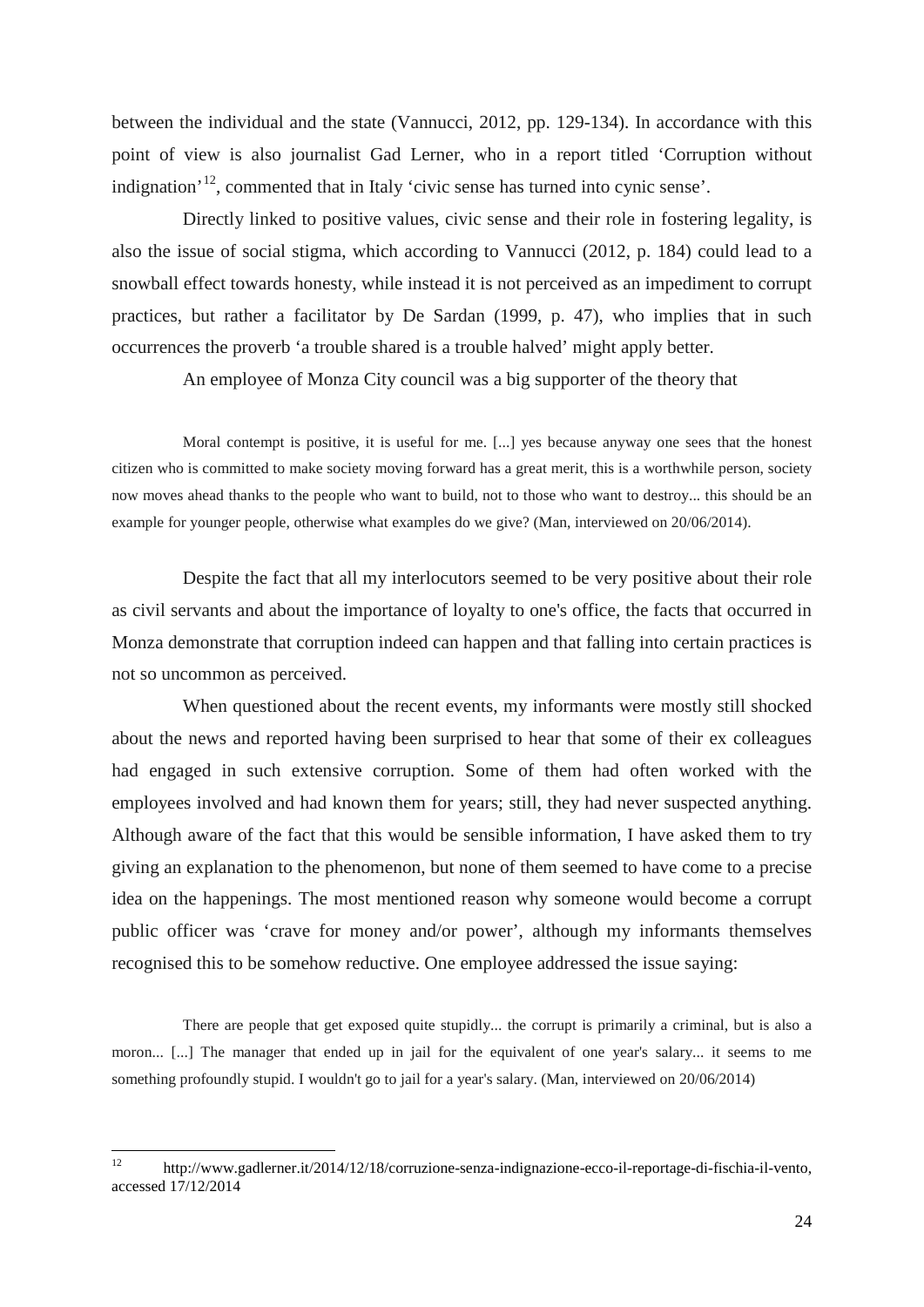between the individual and the state (Vannucci, 2012, pp. 129-134). In accordance with this point of view is also journalist Gad Lerner, who in a report titled 'Corruption without indignation<sup> $12$ </sup>, commented that in Italy 'civic sense has turned into cynic sense'.

Directly linked to positive values, civic sense and their role in fostering legality, is also the issue of social stigma, which according to Vannucci (2012, p. 184) could lead to a snowball effect towards honesty, while instead it is not perceived as an impediment to corrupt practices, but rather a facilitator by De Sardan (1999, p. 47), who implies that in such occurrences the proverb 'a trouble shared is a trouble halved' might apply better.

An employee of Monza City council was a big supporter of the theory that

Moral contempt is positive, it is useful for me. [...] yes because anyway one sees that the honest citizen who is committed to make society moving forward has a great merit, this is a worthwhile person, society now moves ahead thanks to the people who want to build, not to those who want to destroy... this should be an example for younger people, otherwise what examples do we give? (Man, interviewed on 20/06/2014).

Despite the fact that all my interlocutors seemed to be very positive about their role as civil servants and about the importance of loyalty to one's office, the facts that occurred in Monza demonstrate that corruption indeed can happen and that falling into certain practices is not so uncommon as perceived.

When questioned about the recent events, my informants were mostly still shocked about the news and reported having been surprised to hear that some of their ex colleagues had engaged in such extensive corruption. Some of them had often worked with the employees involved and had known them for years; still, they had never suspected anything. Although aware of the fact that this would be sensible information, I have asked them to try giving an explanation to the phenomenon, but none of them seemed to have come to a precise idea on the happenings. The most mentioned reason why someone would become a corrupt public officer was 'crave for money and/or power', although my informants themselves recognised this to be somehow reductive. One employee addressed the issue saying:

There are people that get exposed quite stupidly... the corrupt is primarily a criminal, but is also a moron... [...] The manager that ended up in jail for the equivalent of one year's salary... it seems to me something profoundly stupid. I wouldn't go to jail for a year's salary. (Man, interviewed on 20/06/2014)

<span id="page-23-0"></span><sup>12</sup> http://www.gadlerner.it/2014/12/18/corruzione-senza-indignazione-ecco-il-reportage-di-fischia-il-vento, accessed 17/12/2014  $12$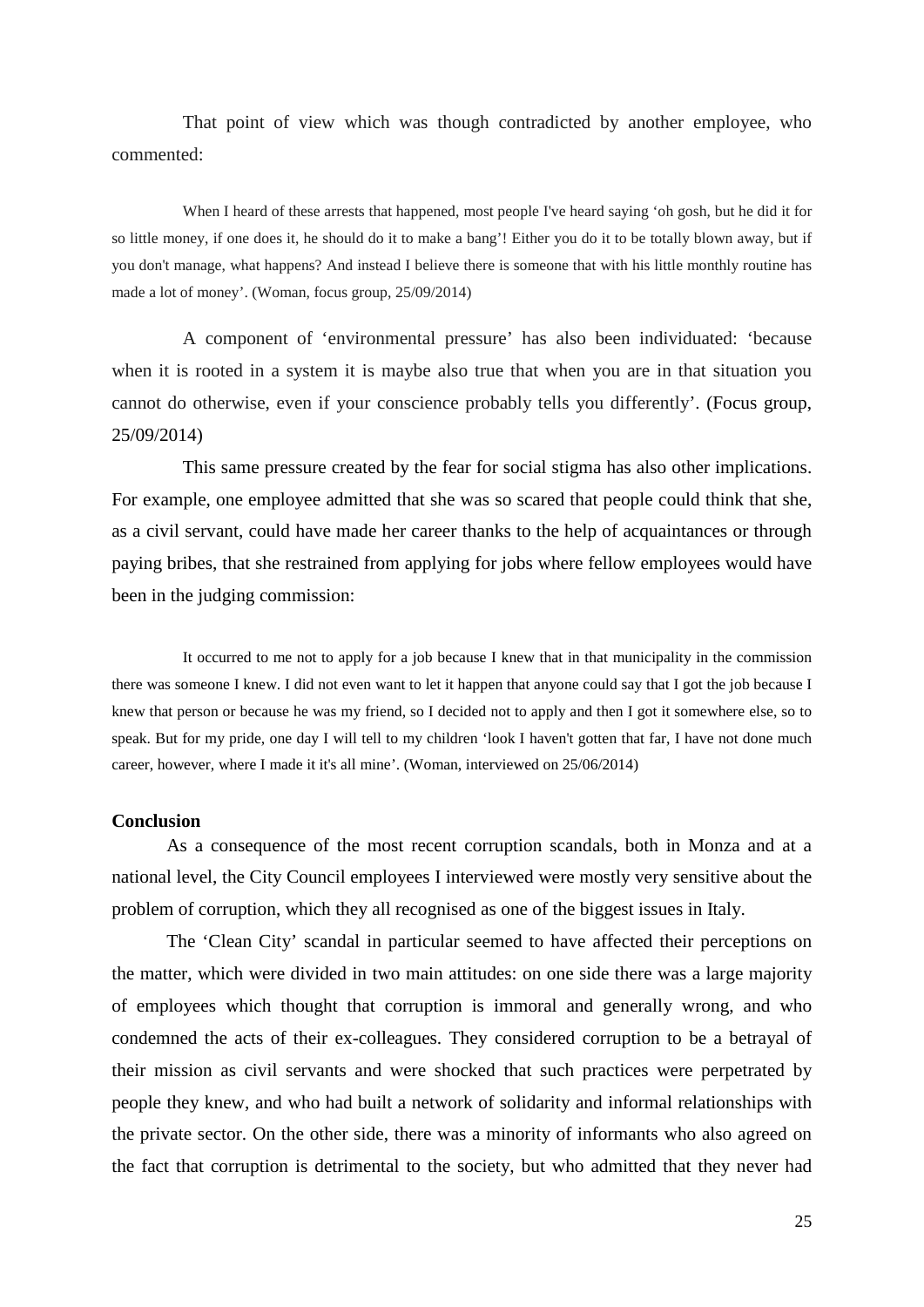That point of view which was though contradicted by another employee, who commented:

When I heard of these arrests that happened, most people I've heard saying 'oh gosh, but he did it for so little money, if one does it, he should do it to make a bang'! Either you do it to be totally blown away, but if you don't manage, what happens? And instead I believe there is someone that with his little monthly routine has made a lot of money'. (Woman, focus group, 25/09/2014)

A component of 'environmental pressure' has also been individuated: 'because when it is rooted in a system it is maybe also true that when you are in that situation you cannot do otherwise, even if your conscience probably tells you differently'. (Focus group, 25/09/2014)

This same pressure created by the fear for social stigma has also other implications. For example, one employee admitted that she was so scared that people could think that she, as a civil servant, could have made her career thanks to the help of acquaintances or through paying bribes, that she restrained from applying for jobs where fellow employees would have been in the judging commission:

It occurred to me not to apply for a job because I knew that in that municipality in the commission there was someone I knew. I did not even want to let it happen that anyone could say that I got the job because I knew that person or because he was my friend, so I decided not to apply and then I got it somewhere else, so to speak. But for my pride, one day I will tell to my children 'look I haven't gotten that far, I have not done much career, however, where I made it it's all mine'. (Woman, interviewed on 25/06/2014)

#### **Conclusion**

As a consequence of the most recent corruption scandals, both in Monza and at a national level, the City Council employees I interviewed were mostly very sensitive about the problem of corruption, which they all recognised as one of the biggest issues in Italy.

The 'Clean City' scandal in particular seemed to have affected their perceptions on the matter, which were divided in two main attitudes: on one side there was a large majority of employees which thought that corruption is immoral and generally wrong, and who condemned the acts of their ex-colleagues. They considered corruption to be a betrayal of their mission as civil servants and were shocked that such practices were perpetrated by people they knew, and who had built a network of solidarity and informal relationships with the private sector. On the other side, there was a minority of informants who also agreed on the fact that corruption is detrimental to the society, but who admitted that they never had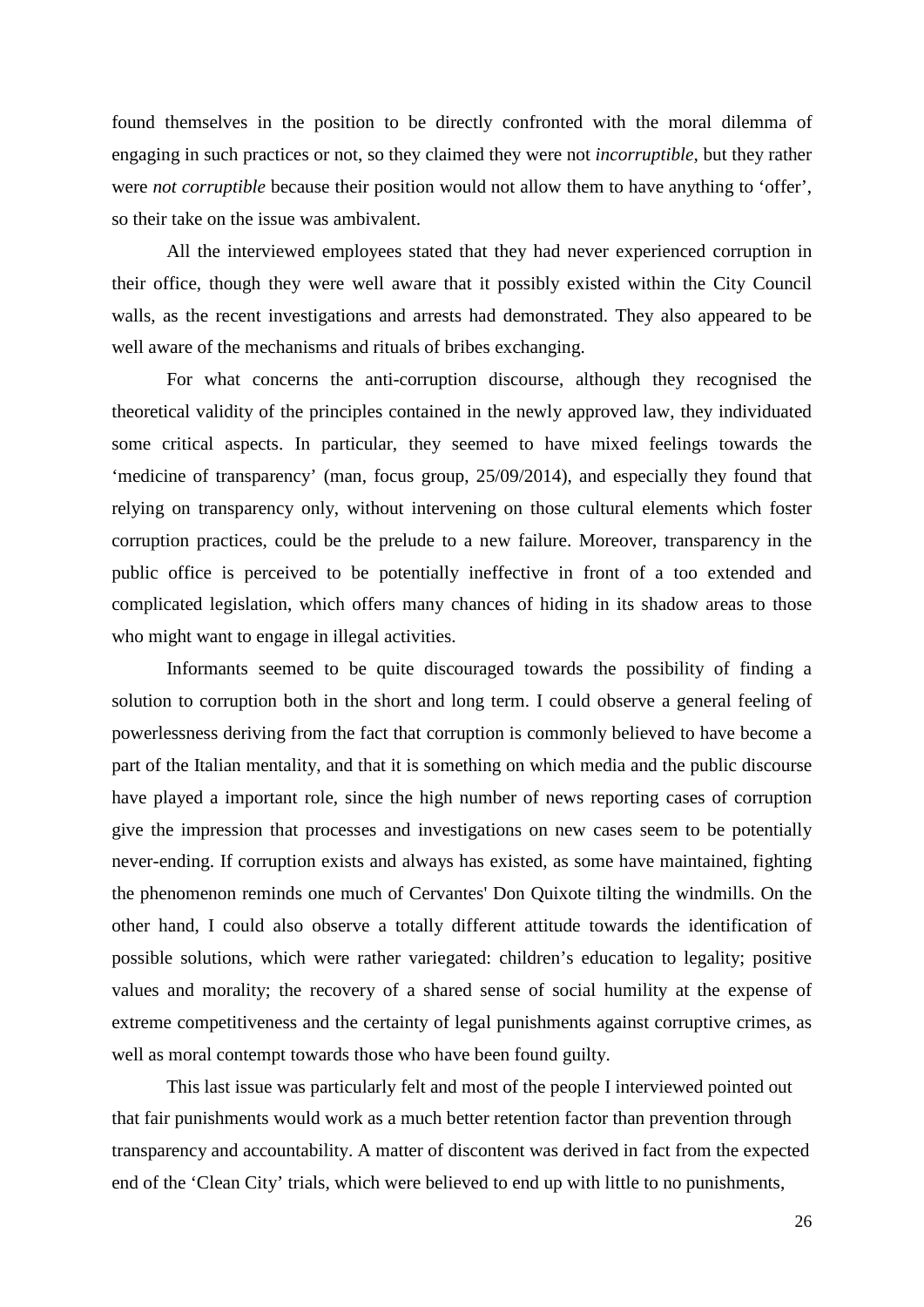found themselves in the position to be directly confronted with the moral dilemma of engaging in such practices or not, so they claimed they were not *incorruptible*, but they rather were *not corruptible* because their position would not allow them to have anything to 'offer', so their take on the issue was ambivalent.

All the interviewed employees stated that they had never experienced corruption in their office, though they were well aware that it possibly existed within the City Council walls, as the recent investigations and arrests had demonstrated. They also appeared to be well aware of the mechanisms and rituals of bribes exchanging.

For what concerns the anti-corruption discourse, although they recognised the theoretical validity of the principles contained in the newly approved law, they individuated some critical aspects. In particular, they seemed to have mixed feelings towards the 'medicine of transparency' (man, focus group, 25/09/2014), and especially they found that relying on transparency only, without intervening on those cultural elements which foster corruption practices, could be the prelude to a new failure. Moreover, transparency in the public office is perceived to be potentially ineffective in front of a too extended and complicated legislation, which offers many chances of hiding in its shadow areas to those who might want to engage in illegal activities.

Informants seemed to be quite discouraged towards the possibility of finding a solution to corruption both in the short and long term. I could observe a general feeling of powerlessness deriving from the fact that corruption is commonly believed to have become a part of the Italian mentality, and that it is something on which media and the public discourse have played a important role, since the high number of news reporting cases of corruption give the impression that processes and investigations on new cases seem to be potentially never-ending. If corruption exists and always has existed, as some have maintained, fighting the phenomenon reminds one much of Cervantes' Don Quixote tilting the windmills. On the other hand, I could also observe a totally different attitude towards the identification of possible solutions, which were rather variegated: children's education to legality; positive values and morality; the recovery of a shared sense of social humility at the expense of extreme competitiveness and the certainty of legal punishments against corruptive crimes, as well as moral contempt towards those who have been found guilty.

This last issue was particularly felt and most of the people I interviewed pointed out that fair punishments would work as a much better retention factor than prevention through transparency and accountability. A matter of discontent was derived in fact from the expected end of the 'Clean City' trials, which were believed to end up with little to no punishments,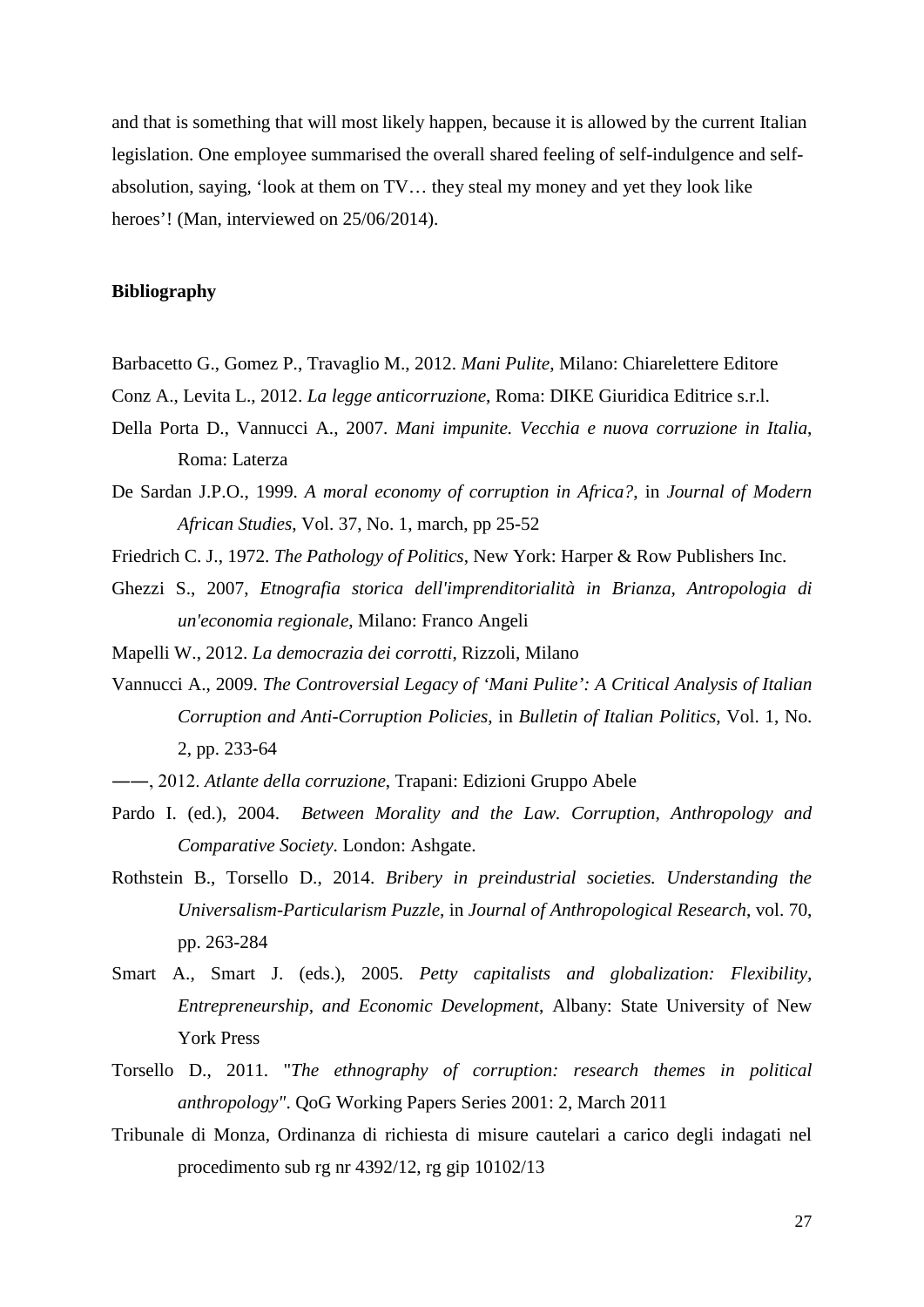and that is something that will most likely happen, because it is allowed by the current Italian legislation. One employee summarised the overall shared feeling of self-indulgence and selfabsolution, saying, 'look at them on TV… they steal my money and yet they look like heroes'! (Man, interviewed on 25/06/2014).

#### **Bibliography**

- Barbacetto G., Gomez P., Travaglio M., 2012. *Mani Pulite*, Milano: Chiarelettere Editore
- Conz A., Levita L., 2012. *La legge anticorruzione*, Roma: DIKE Giuridica Editrice s.r.l.
- Della Porta D., Vannucci A., 2007. *Mani impunite. Vecchia e nuova corruzione in Italia*, Roma: Laterza
- De Sardan J.P.O., 1999. *A moral economy of corruption in Africa?*, in *Journal of Modern African Studies*, Vol. 37, No. 1, march, pp 25-52
- Friedrich C. J., 1972. *The Pathology of Politics*, New York: Harper & Row Publishers Inc.
- Ghezzi S., 2007, *Etnografia storica dell'imprenditorialità in Brianza, Antropologia di un'economia regionale*, Milano: Franco Angeli
- Mapelli W., 2012. *La democrazia dei corrotti*, Rizzoli, Milano
- Vannucci A., 2009. *The Controversial Legacy of 'Mani Pulite': A Critical Analysis of Italian Corruption and Anti-Corruption Policies*, in *Bulletin of Italian Politics*, Vol. 1, No. 2, pp. 233-64
- ――, 2012. *Atlante della corruzione*, Trapani: Edizioni Gruppo Abele
- Pardo I. (ed.), 2004. *Between Morality and the Law. Corruption, Anthropology and Comparative Society*. London: Ashgate.
- Rothstein B., Torsello D., 2014. *Bribery in preindustrial societies. Understanding the Universalism-Particularism Puzzle*, in *Journal of Anthropological Research*, vol. 70, pp. 263-284
- Smart A., Smart J. (eds.), 2005. *Petty capitalists and globalization: Flexibility, Entrepreneurship, and Economic Development*, Albany: State University of New York Press
- Torsello D., 2011. "*The ethnography of corruption: research themes in political anthropology"*. QoG Working Papers Series 2001: 2, March 2011
- Tribunale di Monza, Ordinanza di richiesta di misure cautelari a carico degli indagati nel procedimento sub rg nr  $4392/12$ , rg gip  $10102/13$